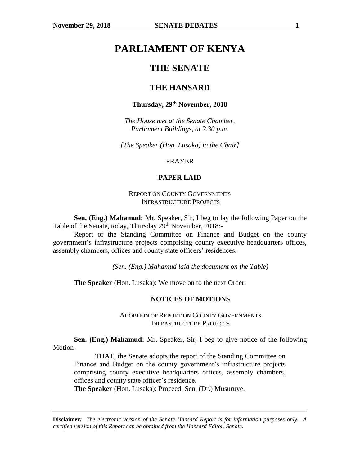# **PARLIAMENT OF KENYA**

## **THE SENATE**

## **THE HANSARD**

### **Thursday, 29th November, 2018**

*The House met at the Senate Chamber, Parliament Buildings, at 2.30 p.m.*

*[The Speaker (Hon. Lusaka) in the Chair]*

#### PRAYER

#### **PAPER LAID**

## REPORT ON COUNTY GOVERNMENTS INFRASTRUCTURE PROJECTS

**Sen. (Eng.) Mahamud:** Mr. Speaker, Sir, I beg to lay the following Paper on the Table of the Senate, today, Thursday 29<sup>th</sup> November, 2018:-

Report of the Standing Committee on Finance and Budget on the county government's infrastructure projects comprising county executive headquarters offices, assembly chambers, offices and county state officers' residences.

*(Sen. (Eng.) Mahamud laid the document on the Table)*

**The Speaker** (Hon. Lusaka): We move on to the next Order.

#### **NOTICES OF MOTIONS**

ADOPTION OF REPORT ON COUNTY GOVERNMENTS INFRASTRUCTURE PROJECTS

**Sen. (Eng.) Mahamud:** Mr. Speaker, Sir, I beg to give notice of the following Motion-

THAT, the Senate adopts the report of the Standing Committee on Finance and Budget on the county government's infrastructure projects comprising county executive headquarters offices, assembly chambers, offices and county state officer's residence.

**The Speaker** (Hon. Lusaka): Proceed, Sen. (Dr.) Musuruve.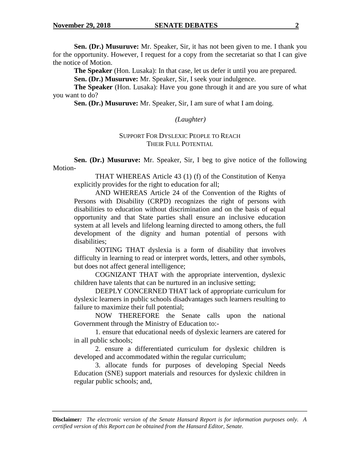**Sen. (Dr.) Musuruve:** Mr. Speaker, Sir, it has not been given to me. I thank you for the opportunity. However, I request for a copy from the secretariat so that I can give the notice of Motion.

**The Speaker** (Hon. Lusaka): In that case, let us defer it until you are prepared.

**Sen. (Dr.) Musuruve:** Mr. Speaker, Sir, I seek your indulgence.

**The Speaker** (Hon. Lusaka): Have you gone through it and are you sure of what you want to do?

**Sen. (Dr.) Musuruve:** Mr. Speaker, Sir, I am sure of what I am doing.

## *(Laughter)*

## SUPPORT FOR DYSLEXIC PEOPLE TO REACH THEIR FULL POTENTIAL

**Sen. (Dr.) Musuruve:** Mr. Speaker, Sir, I beg to give notice of the following Motion-

THAT WHEREAS Article 43 (1) (f) of the Constitution of Kenya explicitly provides for the right to education for all;

AND WHEREAS Article 24 of the Convention of the Rights of Persons with Disability (CRPD) recognizes the right of persons with disabilities to education without discrimination and on the basis of equal opportunity and that State parties shall ensure an inclusive education system at all levels and lifelong learning directed to among others, the full development of the dignity and human potential of persons with disabilities;

NOTING THAT dyslexia is a form of disability that involves difficulty in learning to read or interpret words, letters, and other symbols, but does not affect general intelligence;

COGNIZANT THAT with the appropriate intervention, dyslexic children have talents that can be nurtured in an inclusive setting;

DEEPLY CONCERNED THAT lack of appropriate curriculum for dyslexic learners in public schools disadvantages such learners resulting to failure to maximize their full potential;

NOW THEREFORE the Senate calls upon the national Government through the Ministry of Education to:-

1. ensure that educational needs of dyslexic learners are catered for in all public schools;

2. ensure a differentiated curriculum for dyslexic children is developed and accommodated within the regular curriculum;

3. allocate funds for purposes of developing Special Needs Education (SNE) support materials and resources for dyslexic children in regular public schools; and,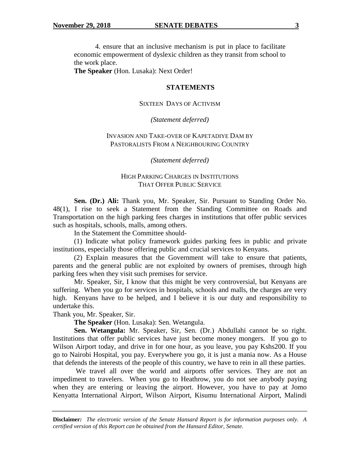4. ensure that an inclusive mechanism is put in place to facilitate economic empowerment of dyslexic children as they transit from school to the work place.

**The Speaker** (Hon. Lusaka): Next Order!

#### **STATEMENTS**

#### SIXTEEN DAYS OF ACTIVISM

*(Statement deferred)*

## INVASION AND TAKE-OVER OF KAPETADIYE DAM BY PASTORALISTS FROM A NEIGHBOURING COUNTRY

*(Statement deferred)*

## HIGH PARKING CHARGES IN INSTITUTIONS THAT OFFER PUBLIC SERVICE

**Sen. (Dr.) Ali:** Thank you, Mr. Speaker, Sir. Pursuant to Standing Order No. 48(1), I rise to seek a Statement from the Standing Committee on Roads and Transportation on the high parking fees charges in institutions that offer public services such as hospitals, schools, malls, among others.

In the Statement the Committee should-

(1) Indicate what policy framework guides parking fees in public and private institutions, especially those offering public and crucial services to Kenyans.

(2) Explain measures that the Government will take to ensure that patients, parents and the general public are not exploited by owners of premises, through high parking fees when they visit such premises for service.

Mr. Speaker, Sir, I know that this might be very controversial, but Kenyans are suffering. When you go for services in hospitals, schools and malls, the charges are very high. Kenyans have to be helped, and I believe it is our duty and responsibility to undertake this.

Thank you, Mr. Speaker, Sir.

**The Speaker** (Hon. Lusaka): Sen. Wetangula.

**Sen. Wetangula:** Mr. Speaker, Sir, Sen. (Dr.) Abdullahi cannot be so right. Institutions that offer public services have just become money mongers. If you go to Wilson Airport today, and drive in for one hour, as you leave, you pay Kshs200. If you go to Nairobi Hospital, you pay. Everywhere you go, it is just a mania now. As a House that defends the interests of the people of this country, we have to rein in all these parties.

We travel all over the world and airports offer services. They are not an impediment to travelers. When you go to Heathrow, you do not see anybody paying when they are entering or leaving the airport. However, you have to pay at Jomo Kenyatta International Airport, Wilson Airport, Kisumu International Airport, Malindi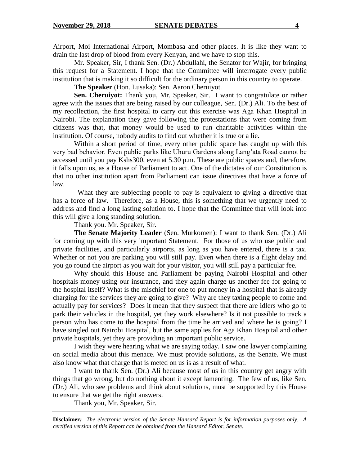Airport, Moi International Airport, Mombasa and other places. It is like they want to drain the last drop of blood from every Kenyan, and we have to stop this.

Mr. Speaker, Sir, I thank Sen. (Dr.) Abdullahi, the Senator for Wajir, for bringing this request for a Statement. I hope that the Committee will interrogate every public institution that is making it so difficult for the ordinary person in this country to operate.

**The Speaker** (Hon. Lusaka): Sen. Aaron Cheruiyot.

**Sen. Cheruiyot:** Thank you, Mr. Speaker, Sir. I want to congratulate or rather agree with the issues that are being raised by our colleague, Sen. (Dr.) Ali. To the best of my recollection, the first hospital to carry out this exercise was Aga Khan Hospital in Nairobi. The explanation they gave following the protestations that were coming from citizens was that, that money would be used to run charitable activities within the institution. Of course, nobody audits to find out whether it is true or a lie.

Within a short period of time, every other public space has caught up with this very bad behavior. Even public parks like Uhuru Gardens along Lang'ata Road cannot be accessed until you pay Kshs300, even at 5.30 p.m. These are public spaces and, therefore, it falls upon us, as a House of Parliament to act. One of the dictates of our Constitution is that no other institution apart from Parliament can issue directives that have a force of law.

 What they are subjecting people to pay is equivalent to giving a directive that has a force of law. Therefore, as a House, this is something that we urgently need to address and find a long lasting solution to. I hope that the Committee that will look into this will give a long standing solution.

Thank you. Mr. Speaker, Sir.

**The Senate Majority Leader** (Sen. Murkomen): I want to thank Sen. (Dr.) Ali for coming up with this very important Statement. For those of us who use public and private facilities, and particularly airports, as long as you have entered, there is a tax. Whether or not you are parking you will still pay. Even when there is a flight delay and you go round the airport as you wait for your visitor, you will still pay a particular fee.

Why should this House and Parliament be paying Nairobi Hospital and other hospitals money using our insurance, and they again charge us another fee for going to the hospital itself? What is the mischief for one to put money in a hospital that is already charging for the services they are going to give? Why are they taxing people to come and actually pay for services? Does it mean that they suspect that there are idlers who go to park their vehicles in the hospital, yet they work elsewhere? Is it not possible to track a person who has come to the hospital from the time he arrived and where he is going? I have singled out Nairobi Hospital, but the same applies for Aga Khan Hospital and other private hospitals, yet they are providing an important public service.

I wish they were hearing what we are saying today. I saw one lawyer complaining on social media about this menace. We must provide solutions, as the Senate. We must also know what that charge that is meted on us is as a result of what.

I want to thank Sen. (Dr.) Ali because most of us in this country get angry with things that go wrong, but do nothing about it except lamenting. The few of us, like Sen. (Dr.) Ali, who see problems and think about solutions, must be supported by this House to ensure that we get the right answers.

Thank you, Mr. Speaker, Sir.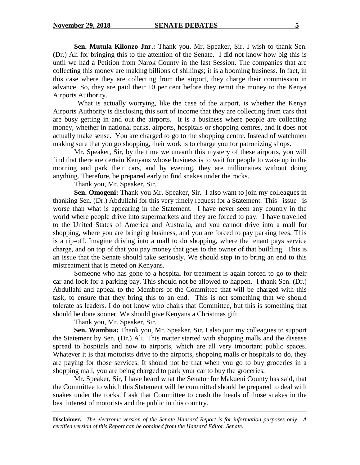**Sen. Mutula Kilonzo Jnr.:** Thank you, Mr. Speaker, Sir. I wish to thank Sen. (Dr.) Ali for bringing this to the attention of the Senate. I did not know how big this is until we had a Petition from Narok County in the last Session. The companies that are collecting this money are making billions of shillings; it is a booming business. In fact, in this case where they are collecting from the airport, they charge their commission in advance. So, they are paid their 10 per cent before they remit the money to the Kenya Airports Authority.

 What is actually worrying, like the case of the airport, is whether the Kenya Airports Authority is disclosing this sort of income that they are collecting from cars that are busy getting in and out the airports. It is a business where people are collecting money, whether in national parks, airports, hospitals or shopping centres, and it does not actually make sense. You are charged to go to the shopping centre. Instead of watchmen making sure that you go shopping, their work is to charge you for patronizing shops.

Mr. Speaker, Sir, by the time we unearth this mystery of these airports, you will find that there are certain Kenyans whose business is to wait for people to wake up in the morning and park their cars, and by evening, they are millionaires without doing anything. Therefore, be prepared early to find snakes under the rocks.

Thank you, Mr. Speaker, Sir.

**Sen. Omogeni:** Thank you Mr. Speaker, Sir. I also want to join my colleagues in thanking Sen. (Dr.) Abdullahi for this very timely request for a Statement. This issue is worse than what is appearing in the Statement. I have never seen any country in the world where people drive into supermarkets and they are forced to pay. I have travelled to the United States of America and Australia, and you cannot drive into a mall for shopping, where you are bringing business, and you are forced to pay parking fees. This is a rip-off. Imagine driving into a mall to do shopping, where the tenant pays service charge, and on top of that you pay money that goes to the owner of that building. This is an issue that the Senate should take seriously. We should step in to bring an end to this mistreatment that is meted on Kenyans.

Someone who has gone to a hospital for treatment is again forced to go to their car and look for a parking bay. This should not be allowed to happen. I thank Sen. (Dr.) Abdullahi and appeal to the Members of the Committee that will be charged with this task, to ensure that they bring this to an end. This is not something that we should tolerate as leaders. I do not know who chairs that Committee, but this is something that should be done sooner. We should give Kenyans a Christmas gift.

Thank you, Mr. Speaker, Sir.

**Sen. Wambua:** Thank you, Mr. Speaker, Sir. I also join my colleagues to support the Statement by Sen. (Dr.) Ali. This matter started with shopping malls and the disease spread to hospitals and now to airports, which are all very important public spaces. Whatever it is that motorists drive to the airports, shopping malls or hospitals to do, they are paying for those services. It should not be that when you go to buy groceries in a shopping mall, you are being charged to park your car to buy the groceries.

Mr. Speaker, Sir, I have heard what the Senator for Makueni County has said, that the Committee to which this Statement will be committed should be prepared to deal with snakes under the rocks. I ask that Committee to crash the heads of those snakes in the best interest of motorists and the public in this country.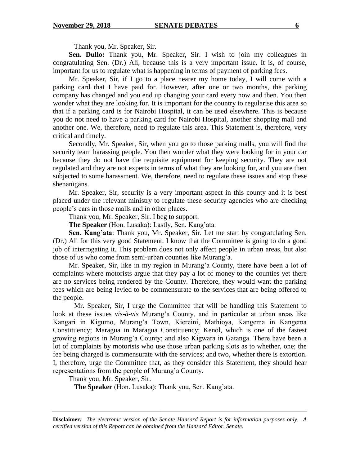Thank you, Mr. Speaker, Sir.

**Sen. Dullo:** Thank you, Mr. Speaker, Sir. I wish to join my colleagues in congratulating Sen. (Dr.) Ali, because this is a very important issue. It is, of course, important for us to regulate what is happening in terms of payment of parking fees.

Mr. Speaker, Sir, if I go to a place nearer my home today, I will come with a parking card that I have paid for. However, after one or two months, the parking company has changed and you end up changing your card every now and then. You then wonder what they are looking for. It is important for the country to regularise this area so that if a parking card is for Nairobi Hospital, it can be used elsewhere. This is because you do not need to have a parking card for Nairobi Hospital, another shopping mall and another one. We, therefore, need to regulate this area. This Statement is, therefore, very critical and timely.

Secondly, Mr. Speaker, Sir, when you go to those parking malls, you will find the security team harassing people. You then wonder what they were looking for in your car because they do not have the requisite equipment for keeping security. They are not regulated and they are not experts in terms of what they are looking for, and you are then subjected to some harassment. We, therefore, need to regulate these issues and stop these shenanigans.

Mr. Speaker, Sir, security is a very important aspect in this county and it is best placed under the relevant ministry to regulate these security agencies who are checking people's cars in those malls and in other places.

Thank you, Mr. Speaker, Sir. I beg to support.

**The Speaker** (Hon. Lusaka): Lastly, Sen. Kang'ata.

**Sen. Kang'ata**: Thank you, Mr. Speaker, Sir. Let me start by congratulating Sen. (Dr.) Ali for this very good Statement. I know that the Committee is going to do a good job of interrogating it. This problem does not only affect people in urban areas, but also those of us who come from semi-urban counties like Murang'a.

Mr. Speaker, Sir, like in my region in Murang'a County, there have been a lot of complaints where motorists argue that they pay a lot of money to the counties yet there are no services being rendered by the County. Therefore, they would want the parking fees which are being levied to be commensurate to the services that are being offered to the people.

Mr. Speaker, Sir, I urge the Committee that will be handling this Statement to look at these issues *vis-à-vis* Murang'a County, and in particular at urban areas like Kangari in Kigumo, Murang'a Town, Kiereini, Mathioya, Kangema in Kangema Constituency; Maragua in Maragua Constituency; Kenol, which is one of the fastest growing regions in Murang'a County; and also Kigwara in Gatanga. There have been a lot of complaints by motorists who use those urban parking slots as to whether, one; the fee being charged is commensurate with the services; and two, whether there is extortion. I, therefore, urge the Committee that, as they consider this Statement, they should hear representations from the people of Murang'a County.

Thank you, Mr. Speaker, Sir.

**The Speaker** (Hon. Lusaka): Thank you, Sen. Kang'ata.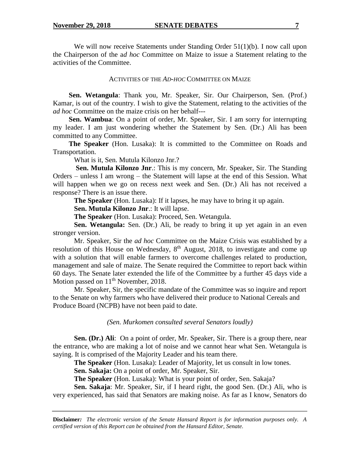We will now receive Statements under Standing Order 51(1)(b). I now call upon the Chairperson of the a*d hoc* Committee on Maize to issue a Statement relating to the activities of the Committee.

#### ACTIVITIES OF THE *AD-HOC* COMMITTEE ON MAIZE

**Sen. Wetangula**: Thank you, Mr. Speaker, Sir. Our Chairperson, Sen. (Prof.) Kamar, is out of the country. I wish to give the Statement, relating to the activities of the *ad hoc* Committee on the maize crisis on her behalf---

**Sen. Wambua**: On a point of order, Mr. Speaker, Sir. I am sorry for interrupting my leader. I am just wondering whether the Statement by Sen. (Dr.) Ali has been committed to any Committee.

**The Speaker** (Hon. Lusaka): It is committed to the Committee on Roads and Transportation.

What is it, Sen. Mutula Kilonzo Jnr.?

**Sen. Mutula Kilonzo Jnr**.: This is my concern, Mr. Speaker, Sir. The Standing Orders – unless I am wrong – the Statement will lapse at the end of this Session. What will happen when we go on recess next week and Sen. (Dr.) Ali has not received a response? There is an issue there.

**The Speaker** (Hon. Lusaka): If it lapses, he may have to bring it up again.

**Sen. Mutula Kilonzo Jnr**.: It will lapse.

**The Speaker** (Hon. Lusaka): Proceed, Sen. Wetangula.

**Sen. Wetangula:** Sen. (Dr.) Ali, be ready to bring it up yet again in an even stronger version.

Mr. Speaker, Sir the *ad hoc* Committee on the Maize Crisis was established by a resolution of this House on Wednesday, 8<sup>th</sup> August, 2018, to investigate and come up with a solution that will enable farmers to overcome challenges related to production, management and sale of maize. The Senate required the Committee to report back within 60 days. The Senate later extended the life of the Committee by a further 45 days vide a Motion passed on  $11<sup>th</sup>$  November, 2018.

Mr. Speaker, Sir, the specific mandate of the Committee was so inquire and report to the Senate on why farmers who have delivered their produce to National Cereals and Produce Board (NCPB) have not been paid to date.

*(Sen. Murkomen consulted several Senators loudly)*

**Sen. (Dr.) Ali:** On a point of order, Mr. Speaker, Sir. There is a group there, near the entrance, who are making a lot of noise and we cannot hear what Sen. Wetangula is saying. It is comprised of the Majority Leader and his team there.

**The Speaker** (Hon. Lusaka): Leader of Majority, let us consult in low tones.

**Sen. Sakaja:** On a point of order, Mr. Speaker, Sir.

**The Speaker** (Hon. Lusaka): What is your point of order, Sen. Sakaja?

**Sen. Sakaja**: Mr. Speaker, Sir, if I heard right, the good Sen. (Dr.) Ali, who is very experienced, has said that Senators are making noise. As far as I know, Senators do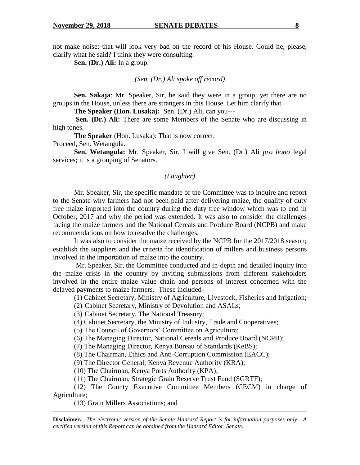not make noise; that will look very bad on the record of his House. Could he, please, clarify what he said? I think they were consulting.

**Sen. (Dr.) Ali:** In a group.

#### *(Sen. (Dr.) Ali spoke off record)*

**Sen. Sakaja**: Mr. Speaker, Sir, he said they were in a group, yet there are no groups in the House, unless there are strangers in this House. Let him clarify that.

**The Speaker (Hon. Lusaka):** Sen. (Dr.) Ali, can you---

**Sen. (Dr.) Ali:** There are some Members of the Senate who are discussing in high tones.

**The Speaker** (Hon. Lusaka): That is now correct.

Proceed, Sen. Wetangula.

**Sen. Wetangula:** Mr. Speaker, Sir, I will give Sen. (Dr.) Ali *pro bono* legal services; it is a grouping of Senators.

#### *(Laughter)*

Mr. Speaker, Sir, the specific mandate of the Committee was to inquire and report to the Senate why farmers had not been paid after delivering maize, the quality of duty free maize imported into the country during the duty free window which was to end in October, 2017 and why the period was extended. It was also to consider the challenges facing the maize farmers and the National Cereals and Produce Board (NCPB) and make recommendations on how to resolve the challenges.

It was also to consider the maize received by the NCPB for the 2017/2018 season; establish the suppliers and the criteria for identification of millers and business persons involved in the importation of maize into the country.

Mr. Speaker, Sir, the Committee conducted and in-depth and detailed inquiry into the maize crisis in the country by inviting submissions from different stakeholders involved in the entire maize value chain and persons of interest concerned with the delayed payments to maize farmers. These included-

(1) Cabinet Secretary, Ministry of Agriculture, Livestock, Fisheries and Irrigation;

(2) Cabinet Secretary, Ministry of Devolution and ASALs;

(3) Cabinet Secretary, The National Treasury;

(4) Cabinet Secretary, the Ministry of Industry, Trade and Cooperatives;

(5) The Council of Governors' Committee on Agriculture;

(6) The Managing Director, National Cereals and Produce Board (NCPB);

(7) The Managing Director, Kenya Bureau of Standards (KeBS);

(8) The Chairman, Ethics and Anti-Corruption Commission (EACC);

(9) The Director General, Kenya Revenue Authority (KRA);

(10) The Chairman, Kenya Ports Authority (KPA);

(11) The Chairman, Strategic Grain Reserve Trust Fund (SGRTF);

(12) The County Executive Committee Members (CECM) in charge of Agriculture;

(13) Grain Millers Associations; and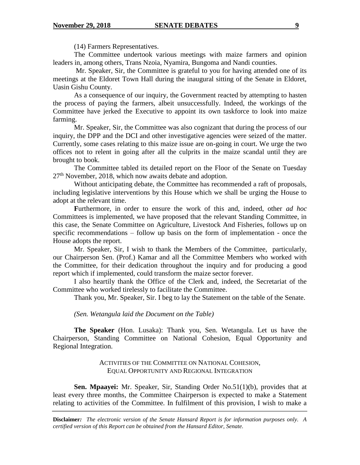(14) Farmers Representatives.

The Committee undertook various meetings with maize farmers and opinion leaders in, among others, Trans Nzoia, Nyamira, Bungoma and Nandi counties.

Mr. Speaker, Sir, the Committee is grateful to you for having attended one of its meetings at the Eldoret Town Hall during the inaugural sitting of the Senate in Eldoret, Uasin Gishu County.

As a consequence of our inquiry, the Government reacted by attempting to hasten the process of paying the farmers, albeit unsuccessfully. Indeed, the workings of the Committee have jerked the Executive to appoint its own taskforce to look into maize farming.

Mr. Speaker, Sir, the Committee was also cognizant that during the process of our inquiry, the DPP and the DCI and other investigative agencies were seized of the matter. Currently, some cases relating to this maize issue are on-going in court. We urge the two offices not to relent in going after all the culprits in the maize scandal until they are brought to book.

The Committee tabled its detailed report on the Floor of the Senate on Tuesday  $27<sup>th</sup>$  November, 2018, which now awaits debate and adoption.

Without anticipating debate, the Committee has recommended a raft of proposals, including legislative interventions by this House which we shall be urging the House to adopt at the relevant time.

**F**urthermore, in order to ensure the work of this and, indeed, other *ad hoc* Committees is implemented, we have proposed that the relevant Standing Committee, in this case, the Senate Committee on Agriculture, Livestock And Fisheries, follows up on specific recommendations – follow up basis on the form of implementation - once the House adopts the report.

Mr. Speaker, Sir, I wish to thank the Members of the Committee, particularly, our Chairperson Sen. (Prof.) Kamar and all the Committee Members who worked with the Committee, for their dedication throughout the inquiry and for producing a good report which if implemented, could transform the maize sector forever.

I also heartily thank the Office of the Clerk and, indeed, the Secretariat of the Committee who worked tirelessly to facilitate the Committee.

Thank you, Mr. Speaker, Sir. I beg to lay the Statement on the table of the Senate.

## *(Sen. Wetangula laid the Document on the Table)*

**The Speaker** (Hon. Lusaka): Thank you, Sen. Wetangula. Let us have the Chairperson, Standing Committee on National Cohesion, Equal Opportunity and Regional Integration.

## ACTIVITIES OF THE COMMITTEE ON NATIONAL COHESION, EQUAL OPPORTUNITY AND REGIONAL INTEGRATION

**Sen. Mpaayei:** Mr. Speaker, Sir, Standing Order No.51(1)(b), provides that at least every three months, the Committee Chairperson is expected to make a Statement relating to activities of the Committee. In fulfilment of this provision, I wish to make a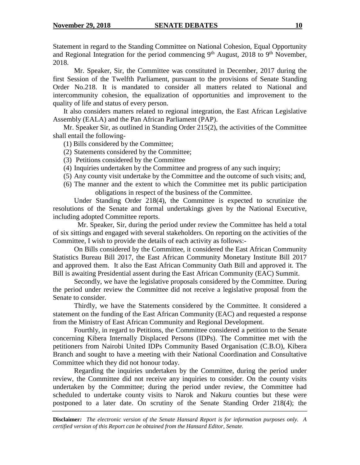Statement in regard to the Standing Committee on National Cohesion, Equal Opportunity and Regional Integration for the period commencing  $9<sup>th</sup>$  August, 2018 to  $9<sup>th</sup>$  November, 2018.

Mr. Speaker, Sir, the Committee was constituted in December, 2017 during the first Session of the Twelfth Parliament, pursuant to the provisions of Senate Standing Order No.218. It is mandated to consider all matters related to National and intercommunity cohesion, the equalization of opportunities and improvement to the quality of life and status of every person.

It also considers matters related to regional integration, the East African Legislative Assembly (EALA) and the Pan African Parliament (PAP).

Mr. Speaker Sir, as outlined in Standing Order 215(2), the activities of the Committee shall entail the following-

- (1) Bills considered by the Committee;
- (2) Statements considered by the Committee;
- (3) Petitions considered by the Committee
- (4) Inquiries undertaken by the Committee and progress of any such inquiry;
- (5) Any county visit undertake by the Committee and the outcome of such visits; and,
- (6) The manner and the extent to which the Committee met its public participation obligations in respect of the business of the Committee.

Under Standing Order 218(4), the Committee is expected to scrutinize the resolutions of the Senate and formal undertakings given by the National Executive, including adopted Committee reports.

Mr. Speaker, Sir, during the period under review the Committee has held a total of six sittings and engaged with several stakeholders. On reporting on the activities of the Committee, I wish to provide the details of each activity as follows:-

On Bills considered by the Committee, it considered the East African Community Statistics Bureau Bill 2017, the East African Community Monetary Institute Bill 2017 and approved them. It also the East African Community Oath Bill and approved it. The Bill is awaiting Presidential assent during the East African Community (EAC) Summit.

Secondly, we have the legislative proposals considered by the Committee. During the period under review the Committee did not receive a legislative proposal from the Senate to consider.

Thirdly, we have the Statements considered by the Committee. It considered a statement on the funding of the East African Community (EAC) and requested a response from the Ministry of East African Community and Regional Development.

Fourthly, in regard to Petitions, the Committee considered a petition to the Senate concerning Kibera Internally Displaced Persons (IDPs). The Committee met with the petitioners from Nairobi United IDPs Community Based Organisation (C.B.O), Kibera Branch and sought to have a meeting with their National Coordination and Consultative Committee which they did not honour today.

Regarding the inquiries undertaken by the Committee, during the period under review, the Committee did not receive any inquiries to consider. On the county visits undertaken by the Committee; during the period under review, the Committee had scheduled to undertake county visits to Narok and Nakuru counties but these were postponed to a later date. On scrutiny of the Senate Standing Order 218(4); the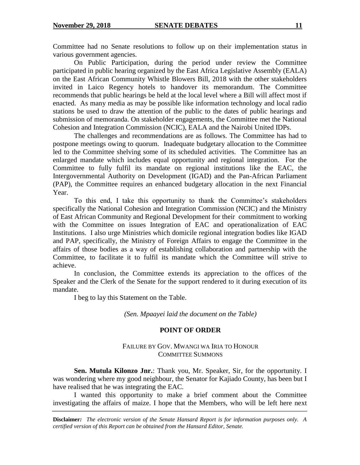Committee had no Senate resolutions to follow up on their implementation status in various government agencies.

On Public Participation, during the period under review the Committee participated in public hearing organized by the East Africa Legislative Assembly (EALA) on the East African Community Whistle Blowers Bill, 2018 with the other stakeholders invited in Laico Regency hotels to handover its memorandum. The Committee recommends that public hearings be held at the local level where a Bill will affect most if enacted. As many media as may be possible like information technology and local radio stations be used to draw the attention of the public to the dates of public hearings and submission of memoranda. On stakeholder engagements, the Committee met the National Cohesion and Integration Commission (NCIC), EALA and the Nairobi United IDPs.

The challenges and recommendations are as follows. The Committee has had to postpone meetings owing to quorum. Inadequate budgetary allocation to the Committee led to the Committee shelving some of its scheduled activities. The Committee has an enlarged mandate which includes equal opportunity and regional integration. For the Committee to fully fulfil its mandate on regional institutions like the EAC, the Intergovernmental Authority on Development (IGAD) and the Pan-African Parliament (PAP), the Committee requires an enhanced budgetary allocation in the next Financial Year.

To this end, I take this opportunity to thank the Committee's stakeholders specifically the National Cohesion and Integration Commission (NCIC) and the Ministry of East African Community and Regional Development for their commitment to working with the Committee on issues Integration of EAC and operationalization of EAC Institutions. I also urge Ministries which domicile regional integration bodies like IGAD and PAP, specifically, the Ministry of Foreign Affairs to engage the Committee in the affairs of those bodies as a way of establishing collaboration and partnership with the Committee, to facilitate it to fulfil its mandate which the Committee will strive to achieve.

In conclusion, the Committee extends its appreciation to the offices of the Speaker and the Clerk of the Senate for the support rendered to it during execution of its mandate.

I beg to lay this Statement on the Table.

*(Sen. Mpaayei laid the document on the Table)*

#### **POINT OF ORDER**

### FAILURE BY GOV. MWANGI WA IRIA TO HONOUR COMMITTEE SUMMONS

**Sen. Mutula Kilonzo Jnr.**: Thank you, Mr. Speaker, Sir, for the opportunity. I was wondering where my good neighbour, the Senator for Kajiado County, has been but I have realised that he was integrating the EAC.

I wanted this opportunity to make a brief comment about the Committee investigating the affairs of maize. I hope that the Members, who will be left here next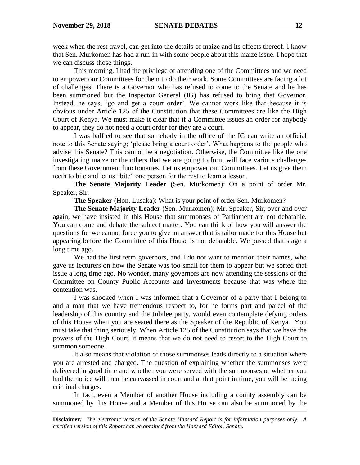week when the rest travel, can get into the details of maize and its effects thereof. I know that Sen. Murkomen has had a run-in with some people about this maize issue. I hope that we can discuss those things.

This morning, I had the privilege of attending one of the Committees and we need to empower our Committees for them to do their work. Some Committees are facing a lot of challenges. There is a Governor who has refused to come to the Senate and he has been summoned but the Inspector General (IG) has refused to bring that Governor. Instead, he says; 'go and get a court order'. We cannot work like that because it is obvious under Article 125 of the Constitution that these Committees are like the High Court of Kenya. We must make it clear that if a Committee issues an order for anybody to appear, they do not need a court order for they are a court.

I was baffled to see that somebody in the office of the IG can write an official note to this Senate saying; 'please bring a court order'. What happens to the people who advise this Senate? This cannot be a negotiation. Otherwise, the Committee like the one investigating maize or the others that we are going to form will face various challenges from these Government functionaries. Let us empower our Committees. Let us give them teeth to bite and let us "bite" one person for the rest to learn a lesson.

**The Senate Majority Leader** (Sen. Murkomen): On a point of order Mr. Speaker, Sir.

**The Speaker** (Hon. Lusaka): What is your point of order Sen. Murkomen?

**The Senate Majority Leader** (Sen. Murkomen): Mr. Speaker, Sir, over and over again, we have insisted in this House that summonses of Parliament are not debatable. You can come and debate the subject matter. You can think of how you will answer the questions for we cannot force you to give an answer that is tailor made for this House but appearing before the Committee of this House is not debatable. We passed that stage a long time ago.

We had the first term governors, and I do not want to mention their names, who gave us lecturers on how the Senate was too small for them to appear but we sorted that issue a long time ago. No wonder, many governors are now attending the sessions of the Committee on County Public Accounts and Investments because that was where the contention was.

I was shocked when I was informed that a Governor of a party that I belong to and a man that we have tremendous respect to, for he forms part and parcel of the leadership of this country and the Jubilee party, would even contemplate defying orders of this House when you are seated there as the Speaker of the Republic of Kenya. You must take that thing seriously. When Article 125 of the Constitution says that we have the powers of the High Court, it means that we do not need to resort to the High Court to summon someone.

It also means that violation of those summonses leads directly to a situation where you are arrested and charged. The question of explaining whether the summonses were delivered in good time and whether you were served with the summonses or whether you had the notice will then be canvassed in court and at that point in time, you will be facing criminal charges.

In fact, even a Member of another House including a county assembly can be summoned by this House and a Member of this House can also be summoned by the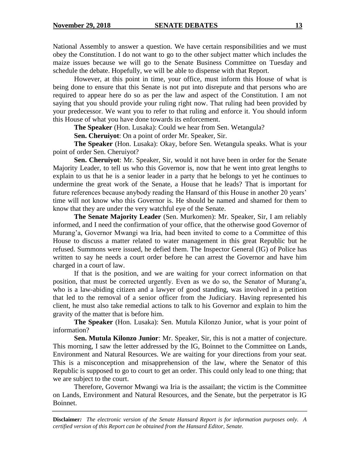National Assembly to answer a question. We have certain responsibilities and we must obey the Constitution. I do not want to go to the other subject matter which includes the maize issues because we will go to the Senate Business Committee on Tuesday and schedule the debate. Hopefully, we will be able to dispense with that Report.

However, at this point in time, your office, must inform this House of what is being done to ensure that this Senate is not put into disrepute and that persons who are required to appear here do so as per the law and aspect of the Constitution. I am not saying that you should provide your ruling right now. That ruling had been provided by your predecessor. We want you to refer to that ruling and enforce it. You should inform this House of what you have done towards its enforcement.

**The Speaker** (Hon. Lusaka): Could we hear from Sen. Wetangula?

**Sen. Cheruiyot**: On a point of order Mr. Speaker, Sir.

**The Speaker** (Hon. Lusaka): Okay, before Sen. Wetangula speaks. What is your point of order Sen. Cheruiyot?

**Sen. Cheruiyot**: Mr. Speaker, Sir, would it not have been in order for the Senate Majority Leader, to tell us who this Governor is, now that he went into great lengths to explain to us that he is a senior leader in a party that he belongs to yet he continues to undermine the great work of the Senate, a House that he leads? That is important for future references because anybody reading the Hansard of this House in another 20 years' time will not know who this Governor is. He should be named and shamed for them to know that they are under the very watchful eye of the Senate.

**The Senate Majority Leader** (Sen. Murkomen): Mr. Speaker, Sir, I am reliably informed, and I need the confirmation of your office, that the otherwise good Governor of Murang'a, Governor Mwangi wa Iria, had been invited to come to a Committee of this House to discuss a matter related to water management in this great Republic but he refused. Summons were issued, he defied them. The Inspector General (IG) of Police has written to say he needs a court order before he can arrest the Governor and have him charged in a court of law.

If that is the position, and we are waiting for your correct information on that position, that must be corrected urgently. Even as we do so, the Senator of Murang'a, who is a law-abiding citizen and a lawyer of good standing, was involved in a petition that led to the removal of a senior officer from the Judiciary. Having represented his client, he must also take remedial actions to talk to his Governor and explain to him the gravity of the matter that is before him.

**The Speaker** (Hon. Lusaka): Sen. Mutula Kilonzo Junior, what is your point of information?

**Sen. Mutula Kilonzo Junior**: Mr. Speaker, Sir, this is not a matter of conjecture. This morning, I saw the letter addressed by the IG, Boinnet to the Committee on Lands, Environment and Natural Resources. We are waiting for your directions from your seat. This is a misconception and misapprehension of the law, where the Senator of this Republic is supposed to go to court to get an order. This could only lead to one thing; that we are subject to the court.

Therefore, Governor Mwangi wa Iria is the assailant; the victim is the Committee on Lands, Environment and Natural Resources, and the Senate, but the perpetrator is IG Boinnet.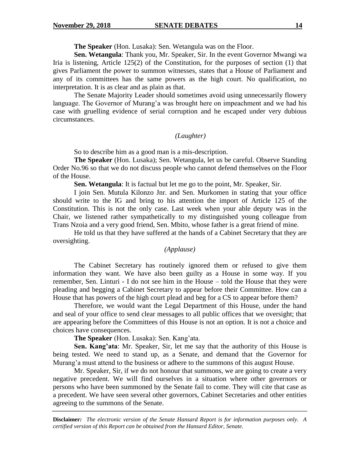**The Speaker** (Hon. Lusaka): Sen. Wetangula was on the Floor.

**Sen. Wetangula**: Thank you, Mr. Speaker, Sir. In the event Governor Mwangi wa Iria is listening, Article 125(2) of the Constitution, for the purposes of section (1) that gives Parliament the power to summon witnesses, states that a House of Parliament and any of its committees has the same powers as the high court. No qualification, no interpretation. It is as clear and as plain as that.

The Senate Majority Leader should sometimes avoid using unnecessarily flowery language. The Governor of Murang'a was brought here on impeachment and we had his case with gruelling evidence of serial corruption and he escaped under very dubious circumstances.

#### *(Laughter)*

So to describe him as a good man is a mis-description.

**The Speaker** (Hon. Lusaka); Sen. Wetangula, let us be careful. Observe Standing Order No.96 so that we do not discuss people who cannot defend themselves on the Floor of the House.

**Sen. Wetangula**: It is factual but let me go to the point, Mr. Speaker, Sir.

I join Sen. Mutula Kilonzo Jnr. and Sen. Murkomen in stating that your office should write to the IG and bring to his attention the import of Article 125 of the Constitution. This is not the only case. Last week when your able deputy was in the Chair, we listened rather sympathetically to my distinguished young colleague from Trans Nzoia and a very good friend, Sen. Mbito, whose father is a great friend of mine.

He told us that they have suffered at the hands of a Cabinet Secretary that they are oversighting.

### *(Applause)*

The Cabinet Secretary has routinely ignored them or refused to give them information they want. We have also been guilty as a House in some way. If you remember, Sen. Linturi - I do not see him in the House – told the House that they were pleading and begging a Cabinet Secretary to appear before their Committee. How can a House that has powers of the high court plead and beg for a CS to appear before them?

Therefore, we would want the Legal Department of this House, under the hand and seal of your office to send clear messages to all public offices that we oversight; that are appearing before the Committees of this House is not an option. It is not a choice and choices have consequences.

**The Speaker** (Hon. Lusaka): Sen. Kang'ata.

**Sen. Kang'ata**: Mr. Speaker, Sir, let me say that the authority of this House is being tested. We need to stand up, as a Senate, and demand that the Governor for Murang'a must attend to the business or adhere to the summons of this august House.

Mr. Speaker, Sir, if we do not honour that summons, we are going to create a very negative precedent. We will find ourselves in a situation where other governors or persons who have been summoned by the Senate fail to come. They will cite that case as a precedent. We have seen several other governors, Cabinet Secretaries and other entities agreeing to the summons of the Senate.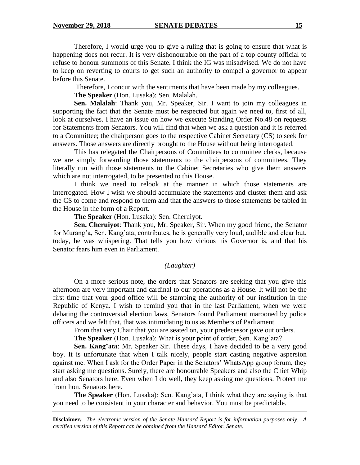Therefore, I would urge you to give a ruling that is going to ensure that what is happening does not recur. It is very dishonourable on the part of a top county official to refuse to honour summons of this Senate. I think the IG was misadvised. We do not have to keep on reverting to courts to get such an authority to compel a governor to appear before this Senate.

Therefore, I concur with the sentiments that have been made by my colleagues.

**The Speaker** (Hon. Lusaka): Sen. Malalah.

**Sen. Malalah**: Thank you, Mr. Speaker, Sir. I want to join my colleagues in supporting the fact that the Senate must be respected but again we need to, first of all, look at ourselves. I have an issue on how we execute Standing Order No.48 on requests for Statements from Senators. You will find that when we ask a question and it is referred to a Committee; the chairperson goes to the respective Cabinet Secretary (CS) to seek for answers. Those answers are directly brought to the House without being interrogated.

This has relegated the Chairpersons of Committees to committee clerks, because we are simply forwarding those statements to the chairpersons of committees. They literally run with those statements to the Cabinet Secretaries who give them answers which are not interrogated, to be presented to this House.

I think we need to relook at the manner in which those statements are interrogated. How I wish we should accumulate the statements and cluster them and ask the CS to come and respond to them and that the answers to those statements be tabled in the House in the form of a Report.

**The Speaker** (Hon. Lusaka): Sen. Cheruiyot.

**Sen. Cheruiyot**: Thank you, Mr. Speaker, Sir. When my good friend, the Senator for Murang'a, Sen. Kang'ata, contributes, he is generally very loud, audible and clear but, today, he was whispering. That tells you how vicious his Governor is, and that his Senator fears him even in Parliament.

#### *(Laughter)*

On a more serious note, the orders that Senators are seeking that you give this afternoon are very important and cardinal to our operations as a House. It will not be the first time that your good office will be stamping the authority of our institution in the Republic of Kenya. I wish to remind you that in the last Parliament, when we were debating the controversial election laws, Senators found Parliament marooned by police officers and we felt that, that was intimidating to us as Members of Parliament.

From that very Chair that you are seated on, your predecessor gave out orders.

**The Speaker** (Hon. Lusaka): What is your point of order, Sen. Kang'ata?

**Sen. Kang'ata**: Mr. Speaker Sir. These days, I have decided to be a very good boy. It is unfortunate that when I talk nicely, people start casting negative aspersion against me. When I ask for the Order Paper in the Senators' WhatsApp group forum, they start asking me questions. Surely, there are honourable Speakers and also the Chief Whip and also Senators here. Even when I do well, they keep asking me questions. Protect me from hon. Senators here.

**The Speaker** (Hon. Lusaka): Sen. Kang'ata, I think what they are saying is that you need to be consistent in your character and behavior. You must be predictable.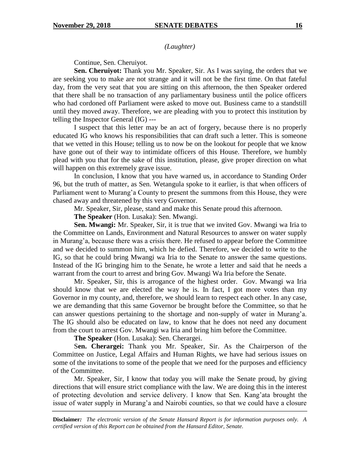*(Laughter)*

Continue, Sen. Cheruiyot.

**Sen. Cheruiyot:** Thank you Mr. Speaker, Sir. As I was saying, the orders that we are seeking you to make are not strange and it will not be the first time. On that fateful day, from the very seat that you are sitting on this afternoon, the then Speaker ordered that there shall be no transaction of any parliamentary business until the police officers who had cordoned off Parliament were asked to move out. Business came to a standstill until they moved away. Therefore, we are pleading with you to protect this institution by telling the Inspector General (IG) ---

I suspect that this letter may be an act of forgery, because there is no properly educated IG who knows his responsibilities that can draft such a letter. This is someone that we vetted in this House; telling us to now be on the lookout for people that we know have gone out of their way to intimidate officers of this House. Therefore, we humbly plead with you that for the sake of this institution, please, give proper direction on what will happen on this extremely grave issue.

In conclusion, I know that you have warned us, in accordance to Standing Order 96, but the truth of matter, as Sen. Wetangula spoke to it earlier, is that when officers of Parliament went to Murang'a County to present the summons from this House, they were chased away and threatened by this very Governor.

Mr. Speaker, Sir, please, stand and make this Senate proud this afternoon.

**The Speaker** (Hon. Lusaka): Sen. Mwangi.

**Sen. Mwangi:** Mr. Speaker, Sir, it is true that we invited Gov. Mwangi wa Iria to the Committee on Lands, Environment and Natural Resources to answer on water supply in Murang'a, because there was a crisis there. He refused to appear before the Committee and we decided to summon him, which he defied. Therefore, we decided to write to the IG, so that he could bring Mwangi wa Iria to the Senate to answer the same questions. Instead of the IG bringing him to the Senate, he wrote a letter and said that he needs a warrant from the court to arrest and bring Gov. Mwangi Wa Iria before the Senate.

Mr. Speaker, Sir, this is arrogance of the highest order. Gov. Mwangi wa Iria should know that we are elected the way he is. In fact, I got more votes than my Governor in my county, and, therefore, we should learn to respect each other. In any case, we are demanding that this same Governor be brought before the Committee, so that he can answer questions pertaining to the shortage and non-supply of water in Murang'a. The IG should also be educated on law, to know that he does not need any document from the court to arrest Gov. Mwangi wa Iria and bring him before the Committee.

**The Speaker** (Hon. Lusaka): Sen. Cherargei.

S**en. Cherargei:** Thank you Mr. Speaker, Sir. As the Chairperson of the Committee on Justice, Legal Affairs and Human Rights, we have had serious issues on some of the invitations to some of the people that we need for the purposes and efficiency of the Committee.

Mr. Speaker, Sir, I know that today you will make the Senate proud, by giving directions that will ensure strict compliance with the law. We are doing this in the interest of protecting devolution and service delivery. I know that Sen. Kang'ata brought the issue of water supply in Murang'a and Nairobi counties, so that we could have a closure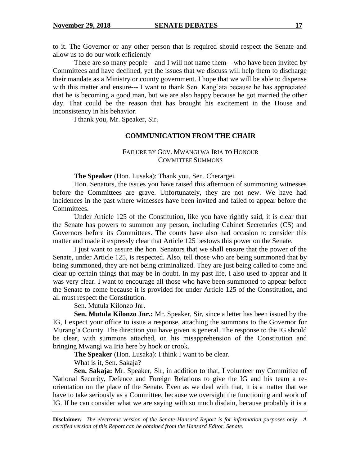to it. The Governor or any other person that is required should respect the Senate and allow us to do our work efficiently

There are so many people – and I will not name them – who have been invited by Committees and have declined, yet the issues that we discuss will help them to discharge their mandate as a Ministry or county government. I hope that we will be able to dispense with this matter and ensure--- I want to thank Sen. Kang'ata because he has appreciated that he is becoming a good man, but we are also happy because he got married the other day. That could be the reason that has brought his excitement in the House and inconsistency in his behavior.

I thank you, Mr. Speaker, Sir.

#### **COMMUNICATION FROM THE CHAIR**

## FAILURE BY GOV. MWANGI WA IRIA TO HONOUR COMMITTEE SUMMONS

**The Speaker** (Hon. Lusaka): Thank you, Sen. Cherargei.

Hon. Senators, the issues you have raised this afternoon of summoning witnesses before the Committees are grave. Unfortunately, they are not new. We have had incidences in the past where witnesses have been invited and failed to appear before the Committees.

Under Article 125 of the Constitution, like you have rightly said, it is clear that the Senate has powers to summon any person, including Cabinet Secretaries (CS) and Governors before its Committees. The courts have also had occasion to consider this matter and made it expressly clear that Article 125 bestows this power on the Senate.

I just want to assure the hon. Senators that we shall ensure that the power of the Senate, under Article 125, is respected. Also, tell those who are being summoned that by being summoned, they are not being criminalized. They are just being called to come and clear up certain things that may be in doubt. In my past life, I also used to appear and it was very clear. I want to encourage all those who have been summoned to appear before the Senate to come because it is provided for under Article 125 of the Constitution, and all must respect the Constitution.

Sen. Mutula Kilonzo Jnr.

**Sen. Mutula Kilonzo Jnr.:** Mr. Speaker, Sir, since a letter has been issued by the IG, I expect your office to issue a response, attaching the summons to the Governor for Murang'a County. The direction you have given is general. The response to the IG should be clear, with summons attached, on his misapprehension of the Constitution and bringing Mwangi wa Iria here by hook or crook.

**The Speaker** (Hon. Lusaka): I think I want to be clear.

What is it, Sen. Sakaja?

Sen. Sakaja: Mr. Speaker, Sir, in addition to that, I volunteer my Committee of National Security, Defence and Foreign Relations to give the IG and his team a reorientation on the place of the Senate. Even as we deal with that, it is a matter that we have to take seriously as a Committee, because we oversight the functioning and work of IG. If he can consider what we are saying with so much disdain, because probably it is a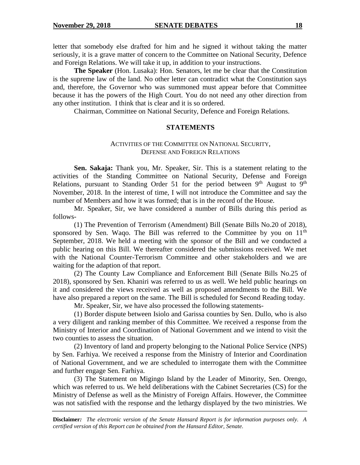letter that somebody else drafted for him and he signed it without taking the matter seriously, it is a grave matter of concern to the Committee on National Security, Defence and Foreign Relations. We will take it up, in addition to your instructions.

**The Speaker** (Hon. Lusaka): Hon. Senators, let me be clear that the Constitution is the supreme law of the land. No other letter can contradict what the Constitution says and, therefore, the Governor who was summoned must appear before that Committee because it has the powers of the High Court. You do not need any other direction from any other institution. I think that is clear and it is so ordered.

Chairman, Committee on National Security, Defence and Foreign Relations.

#### **STATEMENTS**

## ACTIVITIES OF THE COMMITTEE ON NATIONAL SECURITY, DEFENSE AND FOREIGN RELATIONS

**Sen. Sakaja:** Thank you, Mr. Speaker, Sir. This is a statement relating to the activities of the Standing Committee on National Security, Defense and Foreign Relations, pursuant to Standing Order 51 for the period between  $9<sup>th</sup>$  August to  $9<sup>th</sup>$ November, 2018. In the interest of time, I will not introduce the Committee and say the number of Members and how it was formed; that is in the record of the House.

Mr. Speaker, Sir, we have considered a number of Bills during this period as follows-

(1) The Prevention of Terrorism (Amendment) Bill (Senate Bills No.20 of 2018), sponsored by Sen. Waqo. The Bill was referred to the Committee by you on 11<sup>th</sup> September, 2018. We held a meeting with the sponsor of the Bill and we conducted a public hearing on this Bill. We thereafter considered the submissions received. We met with the National Counter-Terrorism Committee and other stakeholders and we are waiting for the adaption of that report.

(2) The County Law Compliance and Enforcement Bill (Senate Bills No.25 of 2018), sponsored by Sen. Khaniri was referred to us as well. We held public hearings on it and considered the views received as well as proposed amendments to the Bill. We have also prepared a report on the same. The Bill is scheduled for Second Reading today.

Mr. Speaker, Sir, we have also processed the following statements-

(1) Border dispute between Isiolo and Garissa counties by Sen. Dullo, who is also a very diligent and ranking member of this Committee. We received a response from the Ministry of Interior and Coordination of National Government and we intend to visit the two counties to assess the situation.

(2) Inventory of land and property belonging to the National Police Service (NPS) by Sen. Farhiya. We received a response from the Ministry of Interior and Coordination of National Government, and we are scheduled to interrogate them with the Committee and further engage Sen. Farhiya.

(3) The Statement on Migingo Island by the Leader of Minority, Sen. Orengo, which was referred to us. We held deliberations with the Cabinet Secretaries (CS) for the Ministry of Defense as well as the Ministry of Foreign Affairs. However, the Committee was not satisfied with the response and the lethargy displayed by the two ministries. We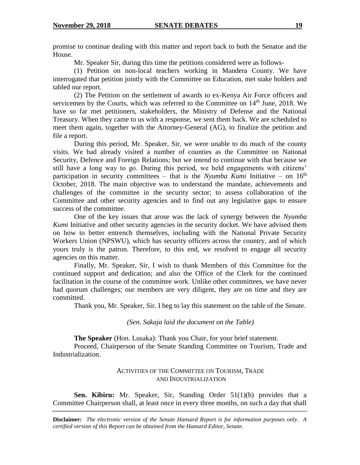promise to continue dealing with this matter and report back to both the Senator and the House.

Mr. Speaker Sir, during this time the petitions considered were as follows-

(1) Petition on non-local teachers working in Mandera County. We have interrogated that petition jointly with the Committee on Education, met stake holders and tabled our report.

(2) The Petition on the settlement of awards to ex-Kenya Air Force officers and servicemen by the Courts, which was referred to the Committee on  $14<sup>th</sup>$  June, 2018. We have so far met petitioners, stakeholders, the Ministry of Defense and the National Treasury. When they came to us with a response, we sent them back. We are scheduled to meet them again, together with the Attorney-General (AG), to finalize the petition and file a report.

During this period, Mr. Speaker, Sir, we were unable to do much of the county visits. We had already visited a number of counties as the Committee on National Security, Defence and Foreign Relations; but we intend to continue with that because we still have a long way to go. During this period, we held engagements with citizens' participation in security committees – that is the *Nyumba Kumi* Initiative – on 16<sup>th</sup> October, 2018. The main objective was to understand the mandate, achievements and challenges of the committee in the security sector; to assess collaboration of the Committee and other security agencies and to find out any legislative gaps to ensure success of the committee.

One of the key issues that arose was the lack of synergy between the *Nyumba Kumi* Initiative and other security agencies in the security docket. We have advised them on how to better entrench themselves, including with the National Private Security Workers Union (NPSWU), which has security officers across the country, and of which yours truly is the patron. Therefore, to this end, we resolved to engage all security agencies on this matter.

Finally, Mr. Speaker, Sir, I wish to thank Members of this Committee for the continued support and dedication; and also the Office of the Clerk for the continued facilitation in the course of the committee work. Unlike other committees, we have never had quorum challenges; our members are very diligent, they are on time and they are committed.

Thank you, Mr. Speaker, Sir. I beg to lay this statement on the table of the Senate.

*(Sen. Sakaja laid the document on the Table)*

**The Speaker** (Hon. Lusaka): Thank you Chair, for your brief statement.

Proceed, Chairperson of the Senate Standing Committee on Tourism, Trade and Industrialization.

#### ACTIVITIES OF THE COMMITTEE ON TOURISM, TRADE AND INDUSTRIALIZATION

**Sen. Kibiru:** Mr. Speaker, Sir, Standing Order 51(1)(b) provides that a Committee Chairperson shall, at least once in every three months, on such a day that shall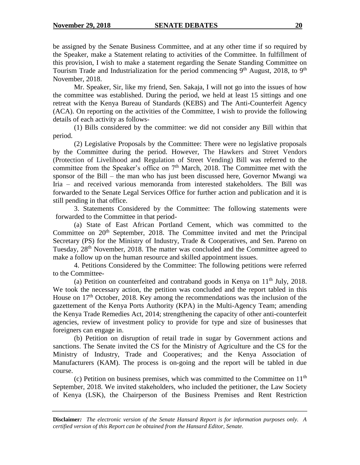be assigned by the Senate Business Committee, and at any other time if so required by the Speaker, make a Statement relating to activities of the Committee. In fulfillment of this provision, I wish to make a statement regarding the Senate Standing Committee on Tourism Trade and Industrialization for the period commencing  $9<sup>th</sup>$  August, 2018, to  $9<sup>th</sup>$ November, 2018.

Mr. Speaker, Sir, like my friend, Sen. Sakaja, I will not go into the issues of how the committee was established. During the period, we held at least 15 sittings and one retreat with the Kenya Bureau of Standards (KEBS) and The Anti-Counterfeit Agency (ACA). On reporting on the activities of the Committee, I wish to provide the following details of each activity as follows-

(1) Bills considered by the committee: we did not consider any Bill within that period.

(2) Legislative Proposals by the Committee: There were no legislative proposals by the Committee during the period. However, The Hawkers and Street Vendors (Protection of Livelihood and Regulation of Street Vending) Bill was referred to the committee from the Speaker's office on  $7<sup>th</sup>$  March, 2018. The Committee met with the sponsor of the Bill – the man who has just been discussed here, Governor Mwangi wa Iria – and received various memoranda from interested stakeholders. The Bill was forwarded to the Senate Legal Services Office for further action and publication and it is still pending in that office.

3. Statements Considered by the Committee: The following statements were forwarded to the Committee in that period-

(a) State of East African Portland Cement, which was committed to the Committee on  $20<sup>th</sup>$  September, 2018. The Committee invited and met the Principal Secretary (PS) for the Ministry of Industry, Trade & Cooperatives, and Sen. Pareno on Tuesday, 28<sup>th</sup> November, 2018. The matter was concluded and the Committee agreed to make a follow up on the human resource and skilled appointment issues.

4. Petitions Considered by the Committee: The following petitions were referred to the Committee-

(a) Petition on counterfeited and contraband goods in Kenya on  $11<sup>th</sup>$  July, 2018. We took the necessary action, the petition was concluded and the report tabled in this House on 17<sup>th</sup> October, 2018. Key among the recommendations was the inclusion of the gazettement of the Kenya Ports Authority (KPA) in the Multi-Agency Team; amending the Kenya Trade Remedies Act, 2014; strengthening the capacity of other anti-counterfeit agencies, review of investment policy to provide for type and size of businesses that foreigners can engage in.

(b) Petition on disruption of retail trade in sugar by Government actions and sanctions. The Senate invited the CS for the Ministry of Agriculture and the CS for the Ministry of Industry, Trade and Cooperatives; and the Kenya Association of Manufacturers (KAM). The process is on-going and the report will be tabled in due course.

(c) Petition on business premises, which was committed to the Committee on  $11<sup>th</sup>$ September, 2018. We invited stakeholders, who included the petitioner, the Law Society of Kenya (LSK), the Chairperson of the Business Premises and Rent Restriction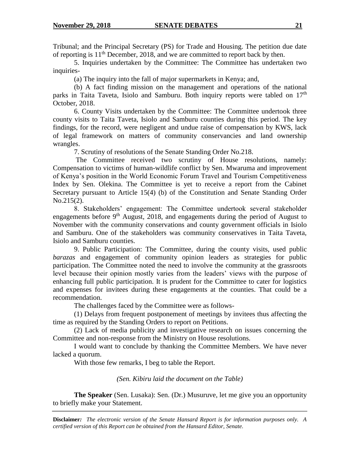Tribunal; and the Principal Secretary (PS) for Trade and Housing. The petition due date of reporting is  $11<sup>th</sup>$  December, 2018, and we are committed to report back by then.

5. Inquiries undertaken by the Committee: The Committee has undertaken two inquiries-

(a) The inquiry into the fall of major supermarkets in Kenya; and,

(b) A fact finding mission on the management and operations of the national parks in Taita Taveta, Isiolo and Samburu. Both inquiry reports were tabled on 17<sup>th</sup> October, 2018.

6. County Visits undertaken by the Committee: The Committee undertook three county visits to Taita Taveta, Isiolo and Samburu counties during this period. The key findings, for the record, were negligent and undue raise of compensation by KWS, lack of legal framework on matters of community conservancies and land ownership wrangles.

7. Scrutiny of resolutions of the Senate Standing Order No.218.

The Committee received two scrutiny of House resolutions, namely: Compensation to victims of human-wildlife conflict by Sen. Mwaruma and improvement of Kenya's position in the World Economic Forum Travel and Tourism Competitiveness Index by Sen. Olekina. The Committee is yet to receive a report from the Cabinet Secretary pursuant to Article 15(4) (b) of the Constitution and Senate Standing Order No.215(2).

8. Stakeholders' engagement: The Committee undertook several stakeholder engagements before  $9<sup>th</sup>$  August, 2018, and engagements during the period of August to November with the community conservations and county government officials in Isiolo and Samburu. One of the stakeholders was community conservatives in Taita Taveta, Isiolo and Samburu counties.

9. Public Participation: The Committee, during the county visits, used public *barazas* and engagement of community opinion leaders as strategies for public participation. The Committee noted the need to involve the community at the grassroots level because their opinion mostly varies from the leaders' views with the purpose of enhancing full public participation. It is prudent for the Committee to cater for logistics and expenses for invitees during these engagements at the counties. That could be a recommendation.

The challenges faced by the Committee were as follows-

(1) Delays from frequent postponement of meetings by invitees thus affecting the time as required by the Standing Orders to report on Petitions.

(2) Lack of media publicity and investigative research on issues concerning the Committee and non-response from the Ministry on House resolutions.

I would want to conclude by thanking the Committee Members. We have never lacked a quorum.

With those few remarks, I beg to table the Report.

*(Sen. Kibiru laid the document on the Table)*

**The Speaker** (Sen. Lusaka): Sen. (Dr.) Musuruve, let me give you an opportunity to briefly make your Statement.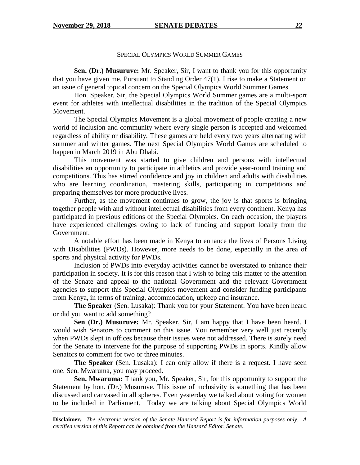#### SPECIAL OLYMPICS WORLD SUMMER GAMES

**Sen. (Dr.) Musuruve:** Mr. Speaker, Sir, I want to thank you for this opportunity that you have given me. Pursuant to Standing Order 47(1), I rise to make a Statement on an issue of general topical concern on the Special Olympics World Summer Games.

Hon. Speaker, Sir, the Special Olympics World Summer games are a multi-sport event for athletes with intellectual disabilities in the tradition of the Special Olympics Movement.

The Special Olympics Movement is a global movement of people creating a new world of inclusion and community where every single person is accepted and welcomed regardless of ability or disability. These games are held every two years alternating with summer and winter games. The next Special Olympics World Games are scheduled to happen in March 2019 in Abu Dhabi.

This movement was started to give children and persons with intellectual disabilities an opportunity to participate in athletics and provide year-round training and competitions. This has stirred confidence and joy in children and adults with disabilities who are learning coordination, mastering skills, participating in competitions and preparing themselves for more productive lives.

Further, as the movement continues to grow, the joy is that sports is bringing together people with and without intellectual disabilities from every continent. Kenya has participated in previous editions of the Special Olympics. On each occasion, the players have experienced challenges owing to lack of funding and support locally from the Government.

A notable effort has been made in Kenya to enhance the lives of Persons Living with Disabilities (PWDs). However, more needs to be done, especially in the area of sports and physical activity for PWDs.

Inclusion of PWDs into everyday activities cannot be overstated to enhance their participation in society. It is for this reason that I wish to bring this matter to the attention of the Senate and appeal to the national Government and the relevant Government agencies to support this Special Olympics movement and consider funding participants from Kenya, in terms of training, accommodation, upkeep and insurance.

**The Speaker** (Sen. Lusaka): Thank you for your Statement. You have been heard or did you want to add something?

**Sen (Dr.) Musuruve:** Mr. Speaker, Sir, I am happy that I have been heard. I would wish Senators to comment on this issue. You remember very well just recently when PWDs slept in offices because their issues were not addressed. There is surely need for the Senate to intervene for the purpose of supporting PWDs in sports. Kindly allow Senators to comment for two or three minutes.

**The Speaker** (Sen. Lusaka): I can only allow if there is a request. I have seen one. Sen. Mwaruma, you may proceed.

**Sen. Mwaruma:** Thank you, Mr. Speaker, Sir, for this opportunity to support the Statement by hon. (Dr.) Musuruve. This issue of inclusivity is something that has been discussed and canvased in all spheres. Even yesterday we talked about voting for women to be included in Parliament. Today we are talking about Special Olympics World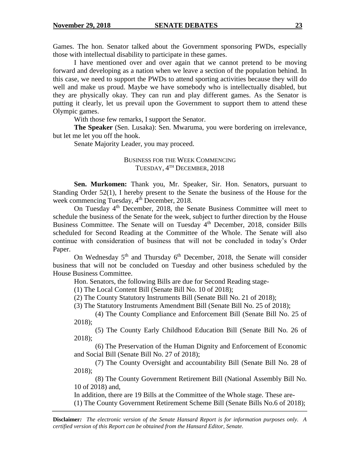Games. The hon. Senator talked about the Government sponsoring PWDs, especially those with intellectual disability to participate in these games.

I have mentioned over and over again that we cannot pretend to be moving forward and developing as a nation when we leave a section of the population behind. In this case, we need to support the PWDs to attend sporting activities because they will do well and make us proud. Maybe we have somebody who is intellectually disabled, but they are physically okay. They can run and play different games. As the Senator is putting it clearly, let us prevail upon the Government to support them to attend these Olympic games.

With those few remarks, I support the Senator.

**The Speaker** (Sen. Lusaka): Sen. Mwaruma, you were bordering on irrelevance, but let me let you off the hook.

Senate Majority Leader, you may proceed.

## BUSINESS FOR THE WEEK COMMENCING TUESDAY, 4<sup>th</sup> DECEMBER, 2018

**Sen. Murkomen:** Thank you, Mr. Speaker, Sir. Hon. Senators, pursuant to Standing Order 52(1), I hereby present to the Senate the business of the House for the week commencing Tuesday, 4<sup>th</sup> December, 2018.

On Tuesday 4th December, 2018, the Senate Business Committee will meet to schedule the business of the Senate for the week, subject to further direction by the House Business Committee. The Senate will on Tuesday 4<sup>th</sup> December, 2018, consider Bills scheduled for Second Reading at the Committee of the Whole. The Senate will also continue with consideration of business that will not be concluded in today's Order Paper.

On Wednesday  $5<sup>th</sup>$  and Thursday  $6<sup>th</sup>$  December, 2018, the Senate will consider business that will not be concluded on Tuesday and other business scheduled by the House Business Committee.

Hon. Senators, the following Bills are due for Second Reading stage-

(1) The Local Content Bill (Senate Bill No. 10 of 2018);

(2) The County Statutory Instruments Bill (Senate Bill No. 21 of 2018);

(3) The Statutory Instruments Amendment Bill (Senate Bill No. 25 of 2018);

(4) The County Compliance and Enforcement Bill (Senate Bill No. 25 of 2018);

(5) The County Early Childhood Education Bill (Senate Bill No. 26 of 2018);

(6) The Preservation of the Human Dignity and Enforcement of Economic and Social Bill (Senate Bill No. 27 of 2018);

(7) The County Oversight and accountability Bill (Senate Bill No. 28 of 2018);

(8) The County Government Retirement Bill (National Assembly Bill No. 10 of 2018) and,

In addition, there are 19 Bills at the Committee of the Whole stage. These are-

(1) The County Government Retirement Scheme Bill (Senate Bills No.6 of 2018);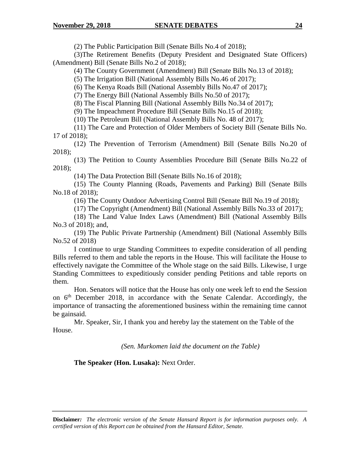(2) The Public Participation Bill (Senate Bills No.4 of 2018);

(3)The Retirement Benefits (Deputy President and Designated State Officers) (Amendment) Bill (Senate Bills No.2 of 2018);

(4) The County Government (Amendment) Bill (Senate Bills No.13 of 2018);

(5) The Irrigation Bill (National Assembly Bills No.46 of 2017);

(6) The Kenya Roads Bill (National Assembly Bills No.47 of 2017);

(7) The Energy Bill (National Assembly Bills No.50 of 2017);

(8) The Fiscal Planning Bill (National Assembly Bills No.34 of 2017);

(9) The Impeachment Procedure Bill (Senate Bills No.15 of 2018);

(10) The Petroleum Bill (National Assembly Bills No. 48 of 2017);

(11) The Care and Protection of Older Members of Society Bill (Senate Bills No. 17 of 2018);

(12) The Prevention of Terrorism (Amendment) Bill (Senate Bills No.20 of 2018);

(13) The Petition to County Assemblies Procedure Bill (Senate Bills No.22 of 2018);

(14) The Data Protection Bill (Senate Bills No.16 of 2018);

(15) The County Planning (Roads, Pavements and Parking) Bill (Senate Bills No.18 of 2018);

(16) The County Outdoor Advertising Control Bill (Senate Bill No.19 of 2018);

(17) The Copyright (Amendment) Bill (National Assembly Bills No.33 of 2017);

(18) The Land Value Index Laws (Amendment) Bill (National Assembly Bills No.3 of 2018); and,

(19) The Public Private Partnership (Amendment) Bill (National Assembly Bills No.52 of 2018)

I continue to urge Standing Committees to expedite consideration of all pending Bills referred to them and table the reports in the House. This will facilitate the House to effectively navigate the Committee of the Whole stage on the said Bills. Likewise, I urge Standing Committees to expeditiously consider pending Petitions and table reports on them.

Hon. Senators will notice that the House has only one week left to end the Session on 6th December 2018, in accordance with the Senate Calendar. Accordingly, the importance of transacting the aforementioned business within the remaining time cannot be gainsaid.

Mr. Speaker, Sir, I thank you and hereby lay the statement on the Table of the House.

*(Sen. Murkomen laid the document on the Table)*

**The Speaker (Hon. Lusaka):** Next Order.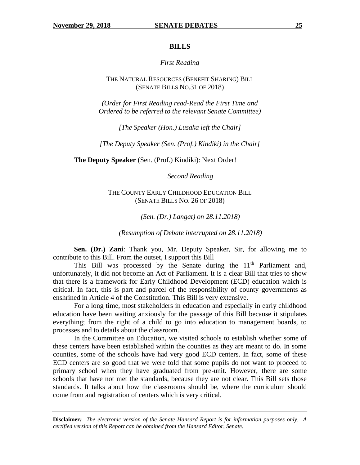#### **BILLS**

#### *First Reading*

#### THE NATURAL RESOURCES (BENEFIT SHARING) BILL (SENATE BILLS NO.31 OF 2018)

*(Order for First Reading read-Read the First Time and Ordered to be referred to the relevant Senate Committee)*

*[The Speaker (Hon.) Lusaka left the Chair]*

*[The Deputy Speaker (Sen. (Prof.) Kindiki) in the Chair]*

**The Deputy Speaker** (Sen. (Prof.) Kindiki): Next Order!

*Second Reading*

THE COUNTY EARLY CHILDHOOD EDUCATION BILL (SENATE BILLS NO. 26 OF 2018)

*(Sen. (Dr.) Langat) on 28.11.2018)*

*(Resumption of Debate interrupted on 28.11.2018)*

**Sen. (Dr.) Zani**: Thank you, Mr. Deputy Speaker, Sir, for allowing me to contribute to this Bill. From the outset, I support this Bill

This Bill was processed by the Senate during the  $11<sup>th</sup>$  Parliament and, unfortunately, it did not become an Act of Parliament. It is a clear Bill that tries to show that there is a framework for Early Childhood Development (ECD) education which is critical. In fact, this is part and parcel of the responsibility of county governments as enshrined in Article 4 of the Constitution. This Bill is very extensive.

For a long time, most stakeholders in education and especially in early childhood education have been waiting anxiously for the passage of this Bill because it stipulates everything; from the right of a child to go into education to management boards, to processes and to details about the classroom.

In the Committee on Education, we visited schools to establish whether some of these centers have been established within the counties as they are meant to do. In some counties, some of the schools have had very good ECD centers. In fact, some of these ECD centers are so good that we were told that some pupils do not want to proceed to primary school when they have graduated from pre-unit. However, there are some schools that have not met the standards, because they are not clear. This Bill sets those standards. It talks about how the classrooms should be, where the curriculum should come from and registration of centers which is very critical.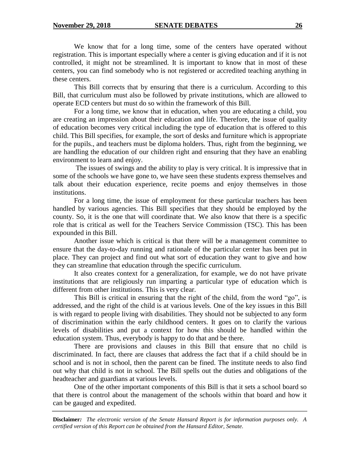We know that for a long time, some of the centers have operated without registration. This is important especially where a center is giving education and if it is not controlled, it might not be streamlined. It is important to know that in most of these centers, you can find somebody who is not registered or accredited teaching anything in these centers.

This Bill corrects that by ensuring that there is a curriculum. According to this Bill, that curriculum must also be followed by private institutions, which are allowed to operate ECD centers but must do so within the framework of this Bill.

For a long time, we know that in education, when you are educating a child, you are creating an impression about their education and life. Therefore, the issue of quality of education becomes very critical including the type of education that is offered to this child. This Bill specifies, for example, the sort of desks and furniture which is appropriate for the pupils., and teachers must be diploma holders. Thus, right from the beginning, we are handling the education of our children right and ensuring that they have an enabling environment to learn and enjoy.

The issues of swings and the ability to play is very critical. It is impressive that in some of the schools we have gone to, we have seen these students express themselves and talk about their education experience, recite poems and enjoy themselves in those institutions.

For a long time, the issue of employment for these particular teachers has been handled by various agencies. This Bill specifies that they should be employed by the county. So, it is the one that will coordinate that. We also know that there is a specific role that is critical as well for the Teachers Service Commission (TSC). This has been expounded in this Bill.

Another issue which is critical is that there will be a management committee to ensure that the day-to-day running and rationale of the particular center has been put in place. They can project and find out what sort of education they want to give and how they can streamline that education through the specific curriculum.

It also creates context for a generalization, for example, we do not have private institutions that are religiously run imparting a particular type of education which is different from other institutions. This is very clear.

This Bill is critical in ensuring that the right of the child, from the word "go", is addressed, and the right of the child is at various levels. One of the key issues in this Bill is with regard to people living with disabilities. They should not be subjected to any form of discrimination within the early childhood centers. It goes on to clarify the various levels of disabilities and put a context for how this should be handled within the education system. Thus, everybody is happy to do that and be there.

There are provisions and clauses in this Bill that ensure that no child is discriminated. In fact, there are clauses that address the fact that if a child should be in school and is not in school, then the parent can be fined. The institute needs to also find out why that child is not in school. The Bill spells out the duties and obligations of the headteacher and guardians at various levels.

One of the other important components of this Bill is that it sets a school board so that there is control about the management of the schools within that board and how it can be gauged and expedited.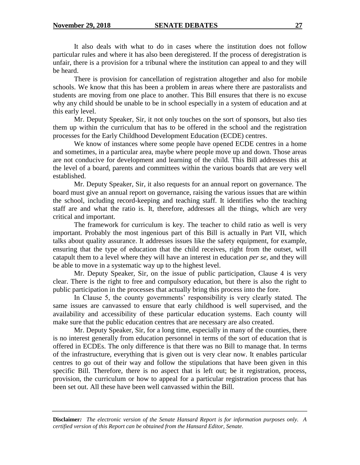It also deals with what to do in cases where the institution does not follow particular rules and where it has also been deregistered. If the process of deregistration is unfair, there is a provision for a tribunal where the institution can appeal to and they will be heard.

There is provision for cancellation of registration altogether and also for mobile schools. We know that this has been a problem in areas where there are pastoralists and students are moving from one place to another. This Bill ensures that there is no excuse why any child should be unable to be in school especially in a system of education and at this early level.

Mr. Deputy Speaker, Sir, it not only touches on the sort of sponsors, but also ties them up within the curriculum that has to be offered in the school and the registration processes for the Early Childhood Development Education (ECDE) centres.

We know of instances where some people have opened ECDE centres in a home and sometimes, in a particular area, maybe where people move up and down. Those areas are not conducive for development and learning of the child. This Bill addresses this at the level of a board, parents and committees within the various boards that are very well established.

Mr. Deputy Speaker, Sir, it also requests for an annual report on governance. The board must give an annual report on governance, raising the various issues that are within the school, including record-keeping and teaching staff. It identifies who the teaching staff are and what the ratio is. It, therefore, addresses all the things, which are very critical and important.

The framework for curriculum is key. The teacher to child ratio as well is very important. Probably the most ingenious part of this Bill is actually in Part VII, which talks about quality assurance. It addresses issues like the safety equipment, for example, ensuring that the type of education that the child receives, right from the outset, will catapult them to a level where they will have an interest in education *per se,* and they will be able to move in a systematic way up to the highest level.

Mr. Deputy Speaker, Sir, on the issue of public participation, Clause 4 is very clear. There is the right to free and compulsory education, but there is also the right to public participation in the processes that actually bring this process into the fore.

In Clause 5, the county governments' responsibility is very clearly stated. The same issues are canvassed to ensure that early childhood is well supervised, and the availability and accessibility of these particular education systems. Each county will make sure that the public education centres that are necessary are also created.

Mr. Deputy Speaker, Sir, for a long time, especially in many of the counties, there is no interest generally from education personnel in terms of the sort of education that is offered in ECDEs. The only difference is that there was no Bill to manage that. In terms of the infrastructure, everything that is given out is very clear now. It enables particular centres to go out of their way and follow the stipulations that have been given in this specific Bill. Therefore, there is no aspect that is left out; be it registration, process, provision, the curriculum or how to appeal for a particular registration process that has been set out. All these have been well canvassed within the Bill.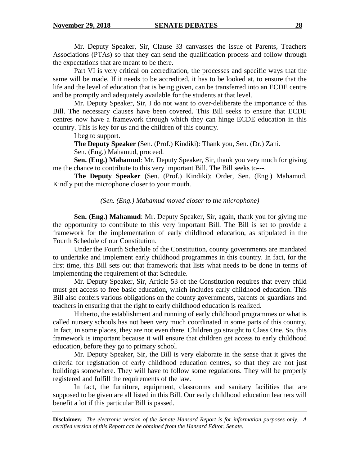Mr. Deputy Speaker, Sir, Clause 33 canvasses the issue of Parents, Teachers Associations (PTAs) so that they can send the qualification process and follow through the expectations that are meant to be there.

Part VI is very critical on accreditation, the processes and specific ways that the same will be made. If it needs to be accredited, it has to be looked at, to ensure that the life and the level of education that is being given, can be transferred into an ECDE centre and be promptly and adequately available for the students at that level.

Mr. Deputy Speaker, Sir, I do not want to over-deliberate the importance of this Bill. The necessary clauses have been covered. This Bill seeks to ensure that ECDE centres now have a framework through which they can hinge ECDE education in this country. This is key for us and the children of this country.

I beg to support.

**The Deputy Speaker** (Sen. (Prof.) Kindiki): Thank you, Sen. (Dr.) Zani.

Sen. (Eng.) Mahamud, proceed.

**Sen. (Eng.) Mahamud**: Mr. Deputy Speaker, Sir, thank you very much for giving me the chance to contribute to this very important Bill. The Bill seeks to---.

**The Deputy Speaker** (Sen. (Prof.) Kindiki): Order, Sen. (Eng.) Mahamud. Kindly put the microphone closer to your mouth.

#### *(Sen. (Eng.) Mahamud moved closer to the microphone)*

**Sen. (Eng.) Mahamud**: Mr. Deputy Speaker, Sir, again, thank you for giving me the opportunity to contribute to this very important Bill. The Bill is set to provide a framework for the implementation of early childhood education, as stipulated in the Fourth Schedule of our Constitution.

Under the Fourth Schedule of the Constitution, county governments are mandated to undertake and implement early childhood programmes in this country. In fact, for the first time, this Bill sets out that framework that lists what needs to be done in terms of implementing the requirement of that Schedule.

Mr. Deputy Speaker, Sir, Article 53 of the Constitution requires that every child must get access to free basic education, which includes early childhood education. This Bill also confers various obligations on the county governments, parents or guardians and teachers in ensuring that the right to early childhood education is realized.

Hitherto, the establishment and running of early childhood programmes or what is called nursery schools has not been very much coordinated in some parts of this country. In fact, in some places, they are not even there. Children go straight to Class One. So, this framework is important because it will ensure that children get access to early childhood education, before they go to primary school.

Mr. Deputy Speaker, Sir, the Bill is very elaborate in the sense that it gives the criteria for registration of early childhood education centres, so that they are not just buildings somewhere. They will have to follow some regulations. They will be properly registered and fulfill the requirements of the law.

In fact, the furniture, equipment, classrooms and sanitary facilities that are supposed to be given are all listed in this Bill. Our early childhood education learners will benefit a lot if this particular Bill is passed.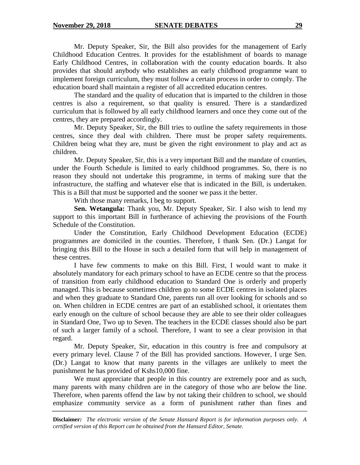Mr. Deputy Speaker, Sir, the Bill also provides for the management of Early Childhood Education Centres. It provides for the establishment of boards to manage Early Childhood Centres, in collaboration with the county education boards. It also provides that should anybody who establishes an early childhood programme want to implement foreign curriculum, they must follow a certain process in order to comply. The education board shall maintain a register of all accredited education centres.

The standard and the quality of education that is imparted to the children in those centres is also a requirement, so that quality is ensured. There is a standardized curriculum that is followed by all early childhood learners and once they come out of the centres, they are prepared accordingly.

Mr. Deputy Speaker, Sir, the Bill tries to outline the safety requirements in those centres, since they deal with children. There must be proper safety requirements. Children being what they are, must be given the right environment to play and act as children.

Mr. Deputy Speaker, Sir, this is a very important Bill and the mandate of counties, under the Fourth Schedule is limited to early childhood programmes. So, there is no reason they should not undertake this programme, in terms of making sure that the infrastructure, the staffing and whatever else that is indicated in the Bill, is undertaken. This is a Bill that must be supported and the sooner we pass it the better.

With those many remarks, I beg to support.

**Sen. Wetangula:** Thank you, Mr. Deputy Speaker, Sir. I also wish to lend my support to this important Bill in furtherance of achieving the provisions of the Fourth Schedule of the Constitution.

Under the Constitution, Early Childhood Development Education (ECDE) programmes are domiciled in the counties. Therefore, I thank Sen. (Dr.) Langat for bringing this Bill to the House in such a detailed form that will help in management of these centres.

I have few comments to make on this Bill. First, I would want to make it absolutely mandatory for each primary school to have an ECDE centre so that the process of transition from early childhood education to Standard One is orderly and properly managed. This is because sometimes children go to some ECDE centres in isolated places and when they graduate to Standard One, parents run all over looking for schools and so on. When children in ECDE centres are part of an established school, it orientates them early enough on the culture of school because they are able to see their older colleagues in Standard One, Two up to Seven. The teachers in the ECDE classes should also be part of such a larger family of a school. Therefore, I want to see a clear provision in that regard.

Mr. Deputy Speaker, Sir, education in this country is free and compulsory at every primary level. Clause 7 of the Bill has provided sanctions. However, I urge Sen. (Dr.) Langat to know that many parents in the villages are unlikely to meet the punishment he has provided of Kshs10,000 fine.

We must appreciate that people in this country are extremely poor and as such, many parents with many children are in the category of those who are below the line. Therefore, when parents offend the law by not taking their children to school, we should emphasize community service as a form of punishment rather than fines and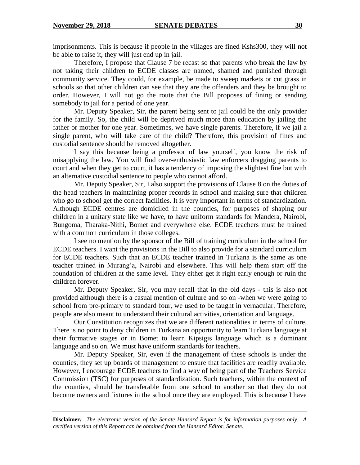imprisonments. This is because if people in the villages are fined Kshs300, they will not be able to raise it, they will just end up in jail.

Therefore, I propose that Clause 7 be recast so that parents who break the law by not taking their children to ECDE classes are named, shamed and punished through community service. They could, for example, be made to sweep markets or cut grass in schools so that other children can see that they are the offenders and they be brought to order. However, I will not go the route that the Bill proposes of fining or sending somebody to jail for a period of one year.

Mr. Deputy Speaker, Sir, the parent being sent to jail could be the only provider for the family. So, the child will be deprived much more than education by jailing the father or mother for one year. Sometimes, we have single parents. Therefore, if we jail a single parent, who will take care of the child? Therefore, this provision of fines and custodial sentence should be removed altogether.

I say this because being a professor of law yourself, you know the risk of misapplying the law. You will find over-enthusiastic law enforcers dragging parents to court and when they get to court, it has a tendency of imposing the slightest fine but with an alternative custodial sentence to people who cannot afford.

Mr. Deputy Speaker, Sir, I also support the provisions of Clause 8 on the duties of the head teachers in maintaining proper records in school and making sure that children who go to school get the correct facilities. It is very important in terms of standardization. Although ECDE centres are domiciled in the counties, for purposes of shaping our children in a unitary state like we have, to have uniform standards for Mandera, Nairobi, Bungoma, Tharaka-Nithi, Bomet and everywhere else. ECDE teachers must be trained with a common curriculum in those colleges.

I see no mention by the sponsor of the Bill of training curriculum in the school for ECDE teachers. I want the provisions in the Bill to also provide for a standard curriculum for ECDE teachers. Such that an ECDE teacher trained in Turkana is the same as one teacher trained in Murang'a, Nairobi and elsewhere. This will help them start off the foundation of children at the same level. They either get it right early enough or ruin the children forever.

Mr. Deputy Speaker, Sir, you may recall that in the old days - this is also not provided although there is a casual mention of culture and so on -when we were going to school from pre-primary to standard four, we used to be taught in vernacular. Therefore, people are also meant to understand their cultural activities, orientation and language.

Our Constitution recognizes that we are different nationalities in terms of culture. There is no point to deny children in Turkana an opportunity to learn Turkana language at their formative stages or in Bomet to learn Kipsigis language which is a dominant language and so on. We must have uniform standards for teachers.

Mr. Deputy Speaker, Sir, even if the management of these schools is under the counties, they set up boards of management to ensure that facilities are readily available. However, I encourage ECDE teachers to find a way of being part of the Teachers Service Commission (TSC) for purposes of standardization. Such teachers, within the context of the counties, should be transferable from one school to another so that they do not become owners and fixtures in the school once they are employed. This is because I have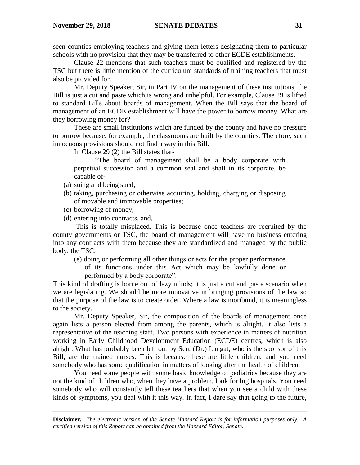seen counties employing teachers and giving them letters designating them to particular schools with no provision that they may be transferred to other ECDE establishments.

Clause 22 mentions that such teachers must be qualified and registered by the TSC but there is little mention of the curriculum standards of training teachers that must also be provided for.

Mr. Deputy Speaker, Sir, in Part IV on the management of these institutions, the Bill is just a cut and paste which is wrong and unhelpful. For example, Clause 29 is lifted to standard Bills about boards of management. When the Bill says that the board of management of an ECDE establishment will have the power to borrow money. What are they borrowing money for?

These are small institutions which are funded by the county and have no pressure to borrow because, for example, the classrooms are built by the counties. Therefore, such innocuous provisions should not find a way in this Bill.

In Clause 29 (2) the Bill states that-

"The board of management shall be a body corporate with perpetual succession and a common seal and shall in its corporate, be capable of-

- (a) suing and being sued;
- (b) taking, purchasing or otherwise acquiring, holding, charging or disposing of movable and immovable properties;
- (c) borrowing of money;
- (d) entering into contracts, and,

This is totally misplaced. This is because once teachers are recruited by the county governments or TSC, the board of management will have no business entering into any contracts with them because they are standardized and managed by the public body; the TSC.

(e) doing or performing all other things or acts for the proper performance of its functions under this Act which may be lawfully done or performed by a body corporate".

This kind of drafting is borne out of lazy minds; it is just a cut and paste scenario when we are legislating. We should be more innovative in bringing provisions of the law so that the purpose of the law is to create order. Where a law is moribund, it is meaningless to the society.

Mr. Deputy Speaker, Sir, the composition of the boards of management once again lists a person elected from among the parents, which is alright. It also lists a representative of the teaching staff. Two persons with experience in matters of nutrition working in Early Childhood Development Education (ECDE) centres, which is also alright. What has probably been left out by Sen. (Dr.) Langat, who is the sponsor of this Bill, are the trained nurses. This is because these are little children, and you need somebody who has some qualification in matters of looking after the health of children.

You need some people with some basic knowledge of pediatrics because they are not the kind of children who, when they have a problem, look for big hospitals. You need somebody who will constantly tell these teachers that when you see a child with these kinds of symptoms, you deal with it this way. In fact, I dare say that going to the future,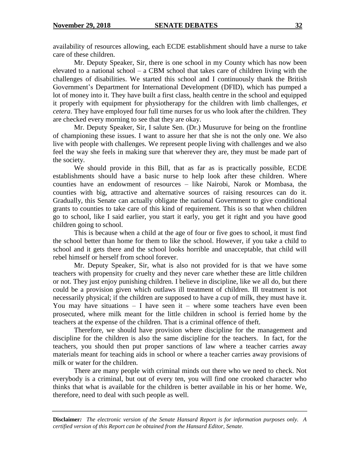availability of resources allowing, each ECDE establishment should have a nurse to take care of these children.

Mr. Deputy Speaker, Sir, there is one school in my County which has now been elevated to a national school – a CBM school that takes care of children living with the challenges of disabilities. We started this school and I continuously thank the British Government's Department for International Development (DFID), which has pumped a lot of money into it. They have built a first class, health centre in the school and equipped it properly with equipment for physiotherapy for the children with limb challenges, *et cetera*. They have employed four full time nurses for us who look after the children. They are checked every morning to see that they are okay.

Mr. Deputy Speaker, Sir, I salute Sen. (Dr.) Musuruve for being on the frontline of championing these issues. I want to assure her that she is not the only one. We also live with people with challenges. We represent people living with challenges and we also feel the way she feels in making sure that wherever they are, they must be made part of the society.

We should provide in this Bill, that as far as is practically possible, ECDE establishments should have a basic nurse to help look after these children. Where counties have an endowment of resources – like Nairobi, Narok or Mombasa, the counties with big, attractive and alternative sources of raising resources can do it. Gradually, this Senate can actually obligate the national Government to give conditional grants to counties to take care of this kind of requirement. This is so that when children go to school, like I said earlier, you start it early, you get it right and you have good children going to school.

This is because when a child at the age of four or five goes to school, it must find the school better than home for them to like the school. However, if you take a child to school and it gets there and the school looks horrible and unacceptable, that child will rebel himself or herself from school forever.

Mr. Deputy Speaker, Sir, what is also not provided for is that we have some teachers with propensity for cruelty and they never care whether these are little children or not. They just enjoy punishing children. I believe in discipline, like we all do, but there could be a provision given which outlaws ill treatment of children. Ill treatment is not necessarily physical; if the children are supposed to have a cup of milk, they must have it. You may have situations  $- I$  have seen it – where some teachers have even been prosecuted, where milk meant for the little children in school is ferried home by the teachers at the expense of the children. That is a criminal offence of theft.

Therefore, we should have provision where discipline for the management and discipline for the children is also the same discipline for the teachers. In fact, for the teachers, you should then put proper sanctions of law where a teacher carries away materials meant for teaching aids in school or where a teacher carries away provisions of milk or water for the children.

There are many people with criminal minds out there who we need to check. Not everybody is a criminal, but out of every ten, you will find one crooked character who thinks that what is available for the children is better available in his or her home. We, therefore, need to deal with such people as well.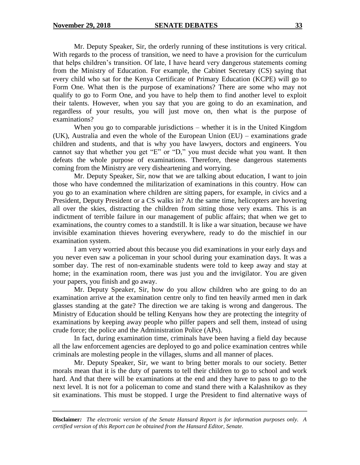Mr. Deputy Speaker, Sir, the orderly running of these institutions is very critical. With regards to the process of transition, we need to have a provision for the curriculum that helps children's transition. Of late, I have heard very dangerous statements coming from the Ministry of Education. For example, the Cabinet Secretary (CS) saying that every child who sat for the Kenya Certificate of Primary Education (KCPE) will go to Form One. What then is the purpose of examinations? There are some who may not qualify to go to Form One, and you have to help them to find another level to exploit their talents. However, when you say that you are going to do an examination, and regardless of your results, you will just move on, then what is the purpose of examinations?

When you go to comparable jurisdictions – whether it is in the United Kingdom (UK), Australia and even the whole of the European Union (EU) – examinations grade children and students, and that is why you have lawyers, doctors and engineers. You cannot say that whether you get "E" or "D," you must decide what you want. It then defeats the whole purpose of examinations. Therefore, these dangerous statements coming from the Ministry are very disheartening and worrying.

Mr. Deputy Speaker, Sir, now that we are talking about education, I want to join those who have condemned the militarization of examinations in this country. How can you go to an examination where children are sitting papers, for example, in civics and a President, Deputy President or a CS walks in? At the same time, helicopters are hovering all over the skies, distracting the children from sitting those very exams. This is an indictment of terrible failure in our management of public affairs; that when we get to examinations, the country comes to a standstill. It is like a war situation, because we have invisible examination thieves hovering everywhere, ready to do the mischief in our examination system.

I am very worried about this because you did examinations in your early days and you never even saw a policeman in your school during your examination days. It was a somber day. The rest of non-examinable students were told to keep away and stay at home; in the examination room, there was just you and the invigilator. You are given your papers, you finish and go away.

Mr. Deputy Speaker, Sir, how do you allow children who are going to do an examination arrive at the examination centre only to find ten heavily armed men in dark glasses standing at the gate? The direction we are taking is wrong and dangerous. The Ministry of Education should be telling Kenyans how they are protecting the integrity of examinations by keeping away people who pilfer papers and sell them, instead of using crude force; the police and the Administration Police (APs).

In fact, during examination time, criminals have been having a field day because all the law enforcement agencies are deployed to go and police examination centres while criminals are molesting people in the villages, slums and all manner of places.

Mr. Deputy Speaker, Sir, we want to bring better morals to our society. Better morals mean that it is the duty of parents to tell their children to go to school and work hard. And that there will be examinations at the end and they have to pass to go to the next level. It is not for a policeman to come and stand there with a Kalashnikov as they sit examinations. This must be stopped. I urge the President to find alternative ways of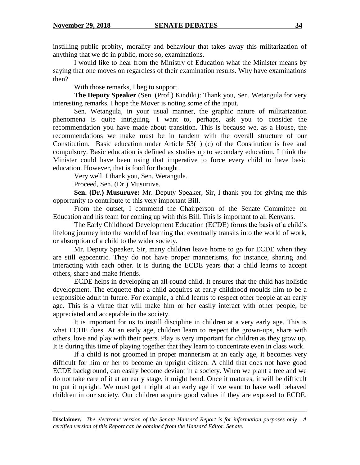instilling public probity, morality and behaviour that takes away this militarization of anything that we do in public, more so, examinations.

I would like to hear from the Ministry of Education what the Minister means by saying that one moves on regardless of their examination results. Why have examinations then?

With those remarks, I beg to support.

**The Deputy Speaker** (Sen. (Prof.) Kindiki): Thank you, Sen. Wetangula for very interesting remarks. I hope the Mover is noting some of the input.

Sen. Wetangula, in your usual manner, the graphic nature of militarization phenomena is quite intriguing. I want to, perhaps, ask you to consider the recommendation you have made about transition. This is because we, as a House, the recommendations we make must be in tandem with the overall structure of our Constitution. Basic education under Article 53(1) (c) of the Constitution is free and compulsory. Basic education is defined as studies up to secondary education. I think the Minister could have been using that imperative to force every child to have basic education. However, that is food for thought.

Very well. I thank you, Sen. Wetangula.

Proceed, Sen. (Dr.) Musuruve.

**Sen. (Dr.) Musuruve:** Mr. Deputy Speaker, Sir, I thank you for giving me this opportunity to contribute to this very important Bill.

From the outset, I commend the Chairperson of the Senate Committee on Education and his team for coming up with this Bill. This is important to all Kenyans.

The Early Childhood Development Education (ECDE) forms the basis of a child's lifelong journey into the world of learning that eventually transits into the world of work, or absorption of a child to the wider society.

Mr. Deputy Speaker, Sir, many children leave home to go for ECDE when they are still egocentric. They do not have proper mannerisms, for instance, sharing and interacting with each other. It is during the ECDE years that a child learns to accept others, share and make friends.

ECDE helps in developing an all-round child. It ensures that the child has holistic development. The etiquette that a child acquires at early childhood moulds him to be a responsible adult in future. For example, a child learns to respect other people at an early age. This is a virtue that will make him or her easily interact with other people, be appreciated and acceptable in the society.

It is important for us to instill discipline in children at a very early age. This is what ECDE does. At an early age, children learn to respect the grown-ups, share with others, love and play with their peers. Play is very important for children as they grow up. It is during this time of playing together that they learn to concentrate even in class work.

If a child is not groomed in proper mannerism at an early age, it becomes very difficult for him or her to become an upright citizen. A child that does not have good ECDE background, can easily become deviant in a society. When we plant a tree and we do not take care of it at an early stage, it might bend. Once it matures, it will be difficult to put it upright. We must get it right at an early age if we want to have well behaved children in our society. Our children acquire good values if they are exposed to ECDE.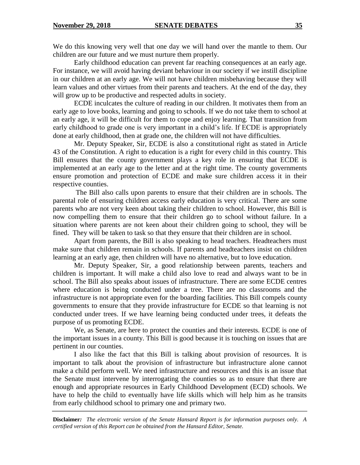We do this knowing very well that one day we will hand over the mantle to them. Our children are our future and we must nurture them properly.

Early childhood education can prevent far reaching consequences at an early age. For instance, we will avoid having deviant behaviour in our society if we instill discipline in our children at an early age. We will not have children misbehaving because they will learn values and other virtues from their parents and teachers. At the end of the day, they will grow up to be productive and respected adults in society.

ECDE inculcates the culture of reading in our children. It motivates them from an early age to love books, learning and going to schools. If we do not take them to school at an early age, it will be difficult for them to cope and enjoy learning. That transition from early childhood to grade one is very important in a child's life. If ECDE is appropriately done at early childhood, then at grade one, the children will not have difficulties.

Mr. Deputy Speaker, Sir, ECDE is also a constitutional right as stated in Article 43 of the Constitution. A right to education is a right for every child in this country. This Bill ensures that the county government plays a key role in ensuring that ECDE is implemented at an early age to the letter and at the right time. The county governments ensure promotion and protection of ECDE and make sure children access it in their respective counties.

The Bill also calls upon parents to ensure that their children are in schools. The parental role of ensuring children access early education is very critical. There are some parents who are not very keen about taking their children to school. However, this Bill is now compelling them to ensure that their children go to school without failure. In a situation where parents are not keen about their children going to school, they will be fined. They will be taken to task so that they ensure that their children are in school.

Apart from parents, the Bill is also speaking to head teachers. Headteachers must make sure that children remain in schools. If parents and headteachers insist on children learning at an early age, then children will have no alternative, but to love education.

Mr. Deputy Speaker, Sir, a good relationship between parents, teachers and children is important. It will make a child also love to read and always want to be in school. The Bill also speaks about issues of infrastructure. There are some ECDE centres where education is being conducted under a tree. There are no classrooms and the infrastructure is not appropriate even for the boarding facilities. This Bill compels county governments to ensure that they provide infrastructure for ECDE so that learning is not conducted under trees. If we have learning being conducted under trees, it defeats the purpose of us promoting ECDE.

We, as Senate, are here to protect the counties and their interests. ECDE is one of the important issues in a county. This Bill is good because it is touching on issues that are pertinent in our counties.

I also like the fact that this Bill is talking about provision of resources. It is important to talk about the provision of infrastructure but infrastructure alone cannot make a child perform well. We need infrastructure and resources and this is an issue that the Senate must intervene by interrogating the counties so as to ensure that there are enough and appropriate resources in Early Childhood Development (ECD) schools. We have to help the child to eventually have life skills which will help him as he transits from early childhood school to primary one and primary two.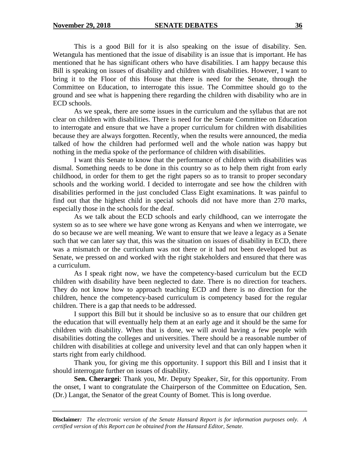This is a good Bill for it is also speaking on the issue of disability. Sen. Wetangula has mentioned that the issue of disability is an issue that is important. He has mentioned that he has significant others who have disabilities. I am happy because this Bill is speaking on issues of disability and children with disabilities. However, I want to bring it to the Floor of this House that there is need for the Senate, through the Committee on Education, to interrogate this issue. The Committee should go to the ground and see what is happening there regarding the children with disability who are in ECD schools.

As we speak, there are some issues in the curriculum and the syllabus that are not clear on children with disabilities. There is need for the Senate Committee on Education to interrogate and ensure that we have a proper curriculum for children with disabilities because they are always forgotten. Recently, when the results were announced, the media talked of how the children had performed well and the whole nation was happy but nothing in the media spoke of the performance of children with disabilities.

I want this Senate to know that the performance of children with disabilities was dismal. Something needs to be done in this country so as to help them right from early childhood, in order for them to get the right papers so as to transit to proper secondary schools and the working world. I decided to interrogate and see how the children with disabilities performed in the just concluded Class Eight examinations. It was painful to find out that the highest child in special schools did not have more than 270 marks, especially those in the schools for the deaf.

As we talk about the ECD schools and early childhood, can we interrogate the system so as to see where we have gone wrong as Kenyans and when we interrogate, we do so because we are well meaning. We want to ensure that we leave a legacy as a Senate such that we can later say that, this was the situation on issues of disability in ECD, there was a mismatch or the curriculum was not there or it had not been developed but as Senate, we pressed on and worked with the right stakeholders and ensured that there was a curriculum.

As I speak right now, we have the competency-based curriculum but the ECD children with disability have been neglected to date. There is no direction for teachers. They do not know how to approach teaching ECD and there is no direction for the children, hence the competency-based curriculum is competency based for the regular children. There is a gap that needs to be addressed.

I support this Bill but it should be inclusive so as to ensure that our children get the education that will eventually help them at an early age and it should be the same for children with disability. When that is done, we will avoid having a few people with disabilities dotting the colleges and universities. There should be a reasonable number of children with disabilities at college and university level and that can only happen when it starts right from early childhood.

Thank you, for giving me this opportunity. I support this Bill and I insist that it should interrogate further on issues of disability.

**Sen. Cherargei**: Thank you, Mr. Deputy Speaker, Sir, for this opportunity. From the onset, I want to congratulate the Chairperson of the Committee on Education, Sen. (Dr.) Langat, the Senator of the great County of Bomet. This is long overdue.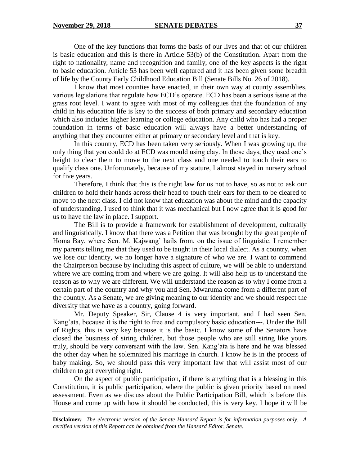One of the key functions that forms the basis of our lives and that of our children is basic education and this is there in Article 53(b) of the Constitution. Apart from the right to nationality, name and recognition and family, one of the key aspects is the right to basic education. Article 53 has been well captured and it has been given some breadth of life by the County Early Childhood Education Bill (Senate Bills No. 26 of 2018).

I know that most counties have enacted, in their own way at county assemblies, various legislations that regulate how ECD's operate. ECD has been a serious issue at the grass root level. I want to agree with most of my colleagues that the foundation of any child in his education life is key to the success of both primary and secondary education which also includes higher learning or college education. Any child who has had a proper foundation in terms of basic education will always have a better understanding of anything that they encounter either at primary or secondary level and that is key.

In this country, ECD has been taken very seriously. When I was growing up, the only thing that you could do at ECD was mould using clay. In those days, they used one's height to clear them to move to the next class and one needed to touch their ears to qualify class one. Unfortunately, because of my stature, I almost stayed in nursery school for five years.

Therefore, I think that this is the right law for us not to have, so as not to ask our children to hold their hands across their head to touch their ears for them to be cleared to move to the next class. I did not know that education was about the mind and the capacity of understanding. I used to think that it was mechanical but I now agree that it is good for us to have the law in place. I support.

The Bill is to provide a framework for establishment of development, culturally and linguistically. I know that there was a Petition that was brought by the great people of Homa Bay, where Sen. M. Kajwang' hails from, on the issue of linguistic. I remember my parents telling me that they used to be taught in their local dialect. As a country, when we lose our identity, we no longer have a signature of who we are. I want to commend the Chairperson because by including this aspect of culture, we will be able to understand where we are coming from and where we are going. It will also help us to understand the reason as to why we are different. We will understand the reason as to why I come from a certain part of the country and why you and Sen. Mwaruma come from a different part of the country. As a Senate, we are giving meaning to our identity and we should respect the diversity that we have as a country, going forward.

Mr. Deputy Speaker, Sir, Clause 4 is very important, and I had seen Sen. Kang'ata, because it is the right to free and compulsory basic education---. Under the Bill of Rights, this is very key because it is the basic. I know some of the Senators have closed the business of siring children, but those people who are still siring like yours truly, should be very conversant with the law. Sen. Kang'ata is here and he was blessed the other day when he solemnized his marriage in church. I know he is in the process of baby making. So, we should pass this very important law that will assist most of our children to get everything right.

On the aspect of public participation, if there is anything that is a blessing in this Constitution, it is public participation, where the public is given priority based on need assessment. Even as we discuss about the Public Participation Bill, which is before this House and come up with how it should be conducted, this is very key. I hope it will be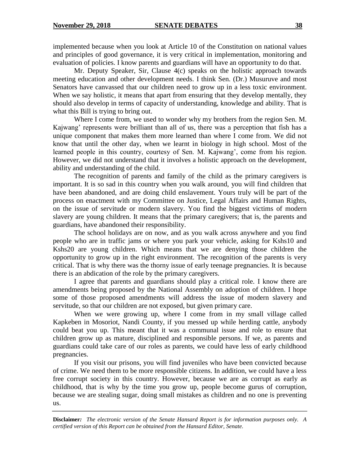implemented because when you look at Article 10 of the Constitution on national values and principles of good governance, it is very critical in implementation, monitoring and evaluation of policies. I know parents and guardians will have an opportunity to do that.

Mr. Deputy Speaker, Sir, Clause 4(c) speaks on the holistic approach towards meeting education and other development needs. I think Sen. (Dr.) Musuruve and most Senators have canvassed that our children need to grow up in a less toxic environment. When we say holistic, it means that apart from ensuring that they develop mentally, they should also develop in terms of capacity of understanding, knowledge and ability. That is what this Bill is trying to bring out.

Where I come from, we used to wonder why my brothers from the region Sen. M. Kajwang' represents were brilliant than all of us, there was a perception that fish has a unique component that makes them more learned than where I come from. We did not know that until the other day, when we learnt in biology in high school. Most of the learned people in this country, courtesy of Sen. M. Kajwang', come from his region. However, we did not understand that it involves a holistic approach on the development, ability and understanding of the child.

The recognition of parents and family of the child as the primary caregivers is important. It is so sad in this country when you walk around, you will find children that have been abandoned, and are doing child enslavement. Yours truly will be part of the process on enactment with my Committee on Justice, Legal Affairs and Human Rights, on the issue of servitude or modern slavery. You find the biggest victims of modern slavery are young children. It means that the primary caregivers; that is, the parents and guardians, have abandoned their responsibility.

The school holidays are on now, and as you walk across anywhere and you find people who are in traffic jams or where you park your vehicle, asking for Kshs10 and Kshs20 are young children. Which means that we are denying those children the opportunity to grow up in the right environment. The recognition of the parents is very critical. That is why there was the thorny issue of early teenage pregnancies. It is because there is an abdication of the role by the primary caregivers.

I agree that parents and guardians should play a critical role. I know there are amendments being proposed by the National Assembly on adoption of children. I hope some of those proposed amendments will address the issue of modern slavery and servitude, so that our children are not exposed, but given primary care.

When we were growing up, where I come from in my small village called Kapkeben in Mosoriot, Nandi County, if you messed up while herding cattle, anybody could beat you up. This meant that it was a communal issue and role to ensure that children grow up as mature, disciplined and responsible persons. If we, as parents and guardians could take care of our roles as parents, we could have less of early childhood pregnancies.

If you visit our prisons, you will find juveniles who have been convicted because of crime. We need them to be more responsible citizens. In addition, we could have a less free corrupt society in this country. However, because we are as corrupt as early as childhood, that is why by the time you grow up, people become gurus of corruption, because we are stealing sugar, doing small mistakes as children and no one is preventing us.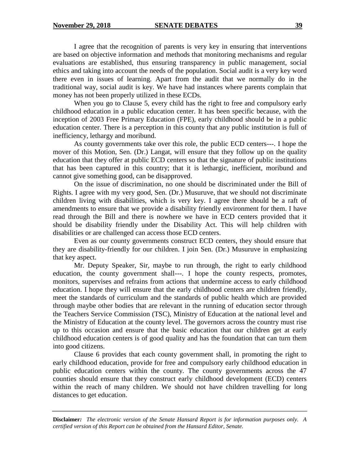I agree that the recognition of parents is very key in ensuring that interventions are based on objective information and methods that monitoring mechanisms and regular evaluations are established, thus ensuring transparency in public management, social ethics and taking into account the needs of the population. Social audit is a very key word there even in issues of learning. Apart from the audit that we normally do in the traditional way, social audit is key. We have had instances where parents complain that money has not been properly utilized in these ECDs.

When you go to Clause 5, every child has the right to free and compulsory early childhood education in a public education center. It has been specific because, with the inception of 2003 Free Primary Education (FPE), early childhood should be in a public education center. There is a perception in this county that any public institution is full of inefficiency, lethargy and moribund.

As county governments take over this role, the public ECD centers---. I hope the mover of this Motion, Sen. (Dr.) Langat, will ensure that they follow up on the quality education that they offer at public ECD centers so that the signature of public institutions that has been captured in this country; that it is lethargic, inefficient, moribund and cannot give something good, can be disapproved.

On the issue of discrimination, no one should be discriminated under the Bill of Rights. I agree with my very good, Sen. (Dr.) Musuruve, that we should not discriminate children living with disabilities, which is very key. I agree there should be a raft of amendments to ensure that we provide a disability friendly environment for them. I have read through the Bill and there is nowhere we have in ECD centers provided that it should be disability friendly under the Disability Act. This will help children with disabilities or are challenged can access those ECD centers.

Even as our county governments construct ECD centers, they should ensure that they are disability-friendly for our children. I join Sen. (Dr.) Musuruve in emphasizing that key aspect.

Mr. Deputy Speaker, Sir, maybe to run through, the right to early childhood education, the county government shall---. I hope the county respects, promotes, monitors, supervises and refrains from actions that undermine access to early childhood education. I hope they will ensure that the early childhood centers are children friendly, meet the standards of curriculum and the standards of public health which are provided through maybe other bodies that are relevant in the running of education sector through the Teachers Service Commission (TSC), Ministry of Education at the national level and the Ministry of Education at the county level. The governors across the country must rise up to this occasion and ensure that the basic education that our children get at early childhood education centers is of good quality and has the foundation that can turn them into good citizens.

Clause 6 provides that each county government shall, in promoting the right to early childhood education, provide for free and compulsory early childhood education in public education centers within the county. The county governments across the 47 counties should ensure that they construct early childhood development (ECD) centers within the reach of many children. We should not have children travelling for long distances to get education.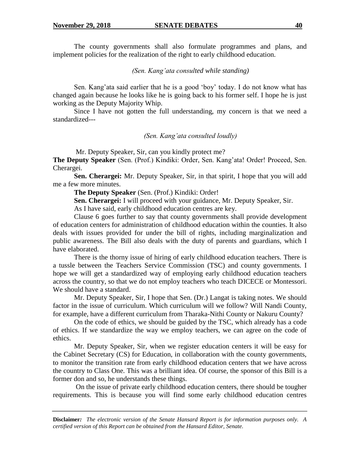The county governments shall also formulate programmes and plans, and implement policies for the realization of the right to early childhood education.

*(Sen. Kang'ata consulted while standing)*

Sen. Kang'ata said earlier that he is a good 'boy' today. I do not know what has changed again because he looks like he is going back to his former self. I hope he is just working as the Deputy Majority Whip.

Since I have not gotten the full understanding, my concern is that we need a standardized---

*(Sen. Kang'ata consulted loudly)*

Mr. Deputy Speaker, Sir, can you kindly protect me?

**The Deputy Speaker** (Sen. (Prof.) Kindiki: Order, Sen. Kang'ata! Order! Proceed, Sen. Cherargei.

**Sen. Cherargei:** Mr. Deputy Speaker, Sir, in that spirit, I hope that you will add me a few more minutes.

**The Deputy Speaker** (Sen. (Prof.) Kindiki: Order!

**Sen. Cherargei:** I will proceed with your guidance, Mr. Deputy Speaker, Sir.

As I have said, early childhood education centres are key.

Clause 6 goes further to say that county governments shall provide development of education centers for administration of childhood education within the counties. It also deals with issues provided for under the bill of rights, including marginalization and public awareness. The Bill also deals with the duty of parents and guardians, which I have elaborated.

There is the thorny issue of hiring of early childhood education teachers. There is a tussle between the Teachers Service Commission (TSC) and county governments. I hope we will get a standardized way of employing early childhood education teachers across the country, so that we do not employ teachers who teach DICECE or Montessori. We should have a standard.

Mr. Deputy Speaker, Sir, I hope that Sen. (Dr.) Langat is taking notes. We should factor in the issue of curriculum. Which curriculum will we follow? Will Nandi County, for example, have a different curriculum from Tharaka-Nithi County or Nakuru County?

On the code of ethics, we should be guided by the TSC, which already has a code of ethics. If we standardize the way we employ teachers, we can agree on the code of ethics.

Mr. Deputy Speaker, Sir, when we register education centers it will be easy for the Cabinet Secretary (CS) for Education, in collaboration with the county governments, to monitor the transition rate from early childhood education centers that we have across the country to Class One. This was a brilliant idea. Of course, the sponsor of this Bill is a former don and so, he understands these things.

On the issue of private early childhood education centers, there should be tougher requirements. This is because you will find some early childhood education centres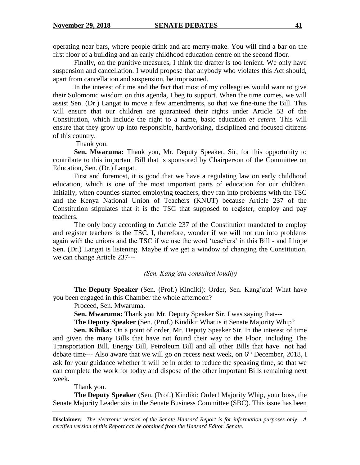operating near bars, where people drink and are merry-make. You will find a bar on the first floor of a building and an early childhood education centre on the second floor.

Finally, on the punitive measures, I think the drafter is too lenient. We only have suspension and cancellation. I would propose that anybody who violates this Act should, apart from cancellation and suspension, be imprisoned.

In the interest of time and the fact that most of my colleagues would want to give their Solomonic wisdom on this agenda, I beg to support. When the time comes, we will assist Sen. (Dr.) Langat to move a few amendments, so that we fine-tune the Bill. This will ensure that our children are guaranteed their rights under Article 53 of the Constitution, which include the right to a name, basic education *et cetera.* This will ensure that they grow up into responsible, hardworking, disciplined and focused citizens of this country.

Thank you.

**Sen. Mwaruma:** Thank you, Mr. Deputy Speaker, Sir, for this opportunity to contribute to this important Bill that is sponsored by Chairperson of the Committee on Education, Sen. (Dr.) Langat.

First and foremost, it is good that we have a regulating law on early childhood education, which is one of the most important parts of education for our children. Initially, when counties started employing teachers, they ran into problems with the TSC and the Kenya National Union of Teachers (KNUT) because Article 237 of the Constitution stipulates that it is the TSC that supposed to register, employ and pay teachers.

The only body according to Article 237 of the Constitution mandated to employ and register teachers is the TSC. I, therefore, wonder if we will not run into problems again with the unions and the TSC if we use the word 'teachers' in this Bill - and I hope Sen. (Dr.) Langat is listening. Maybe if we get a window of changing the Constitution, we can change Article 237---

#### *(Sen. Kang'ata consulted loudly)*

**The Deputy Speaker** (Sen. (Prof.) Kindiki): Order, Sen. Kang'ata! What have you been engaged in this Chamber the whole afternoon?

Proceed, Sen. Mwaruma.

**Sen. Mwaruma:** Thank you Mr. Deputy Speaker Sir, I was saying that---

**The Deputy Speaker** (Sen. (Prof.) Kindiki: What is it Senate Majority Whip?

**Sen. Kihika:** On a point of order, Mr. Deputy Speaker Sir. In the interest of time and given the many Bills that have not found their way to the Floor, including The Transportation Bill, Energy Bill, Petroleum Bill and all other Bills that have not had debate time--- Also aware that we will go on recess next week, on  $6<sup>th</sup>$  December, 2018, I ask for your guidance whether it will be in order to reduce the speaking time, so that we can complete the work for today and dispose of the other important Bills remaining next week.

Thank you.

**The Deputy Speaker** (Sen. (Prof.) Kindiki: Order! Majority Whip, your boss, the Senate Majority Leader sits in the Senate Business Committee (SBC). This issue has been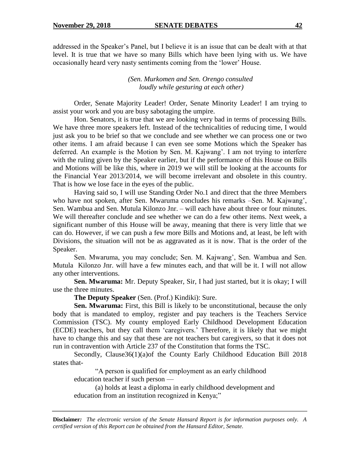addressed in the Speaker's Panel, but I believe it is an issue that can be dealt with at that level. It is true that we have so many Bills which have been lying with us. We have occasionally heard very nasty sentiments coming from the 'lower' House.

> *(Sen. Murkomen and Sen. Orengo consulted loudly while gesturing at each other)*

Order, Senate Majority Leader! Order, Senate Minority Leader! I am trying to assist your work and you are busy sabotaging the umpire.

Hon. Senators, it is true that we are looking very bad in terms of processing Bills. We have three more speakers left. Instead of the technicalities of reducing time, I would just ask you to be brief so that we conclude and see whether we can process one or two other items. I am afraid because I can even see some Motions which the Speaker has deferred. An example is the Motion by Sen. M. Kajwang'. I am not trying to interfere with the ruling given by the Speaker earlier, but if the performance of this House on Bills and Motions will be like this, where in 2019 we will still be looking at the accounts for the Financial Year 2013/2014, we will become irrelevant and obsolete in this country. That is how we lose face in the eyes of the public.

Having said so, I will use Standing Order No.1 and direct that the three Members who have not spoken, after Sen. Mwaruma concludes his remarks –Sen. M. Kajwang', Sen. Wambua and Sen. Mutula Kilonzo Jnr. – will each have about three or four minutes. We will thereafter conclude and see whether we can do a few other items. Next week, a significant number of this House will be away, meaning that there is very little that we can do. However, if we can push a few more Bills and Motions and, at least, be left with Divisions, the situation will not be as aggravated as it is now. That is the order of the Speaker.

Sen. Mwaruma, you may conclude; Sen. M. Kajwang', Sen. Wambua and Sen. Mutula Kilonzo Jnr. will have a few minutes each, and that will be it. I will not allow any other interventions.

**Sen. Mwaruma:** Mr. Deputy Speaker, Sir, I had just started, but it is okay; I will use the three minutes.

**The Deputy Speaker** (Sen. (Prof.) Kindiki): Sure.

**Sen. Mwaruma:** First, this Bill is likely to be unconstitutional, because the only body that is mandated to employ, register and pay teachers is the Teachers Service Commission (TSC). My county employed Early Childhood Development Education (ECDE) teachers, but they call them 'caregivers.' Therefore, it is likely that we might have to change this and say that these are not teachers but caregivers, so that it does not run in contravention with Article 237 of the Constitution that forms the TSC.

Secondly, Clause36(1)(a)of the County Early Childhood Education Bill 2018 states that-

"A person is qualified for employment as an early childhood education teacher if such person —

(a) holds at least a diploma in early childhood development and education from an institution recognized in Kenya;"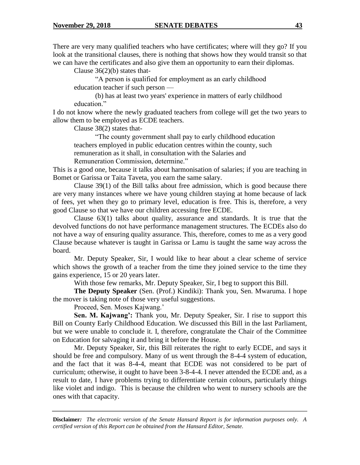There are very many qualified teachers who have certificates; where will they go? If you look at the transitional clauses, there is nothing that shows how they would transit so that we can have the certificates and also give them an opportunity to earn their diplomas.

Clause  $36(2)(b)$  states that-

"A person is qualified for employment as an early childhood education teacher if such person —

(b) has at least two years' experience in matters of early childhood education."

I do not know where the newly graduated teachers from college will get the two years to allow them to be employed as ECDE teachers.

Clause 38(2) states that-

"The county government shall pay to early childhood education teachers employed in public education centres within the county, such remuneration as it shall, in consultation with the Salaries and Remuneration Commission, determine."

This is a good one, because it talks about harmonisation of salaries; if you are teaching in Bomet or Garissa or Taita Taveta, you earn the same salary.

Clause 39(1) of the Bill talks about free admission, which is good because there are very many instances where we have young children staying at home because of lack of fees, yet when they go to primary level, education is free. This is, therefore, a very good Clause so that we have our children accessing free ECDE.

Clause 63(1) talks about quality, assurance and standards. It is true that the devolved functions do not have performance management structures. The ECDEs also do not have a way of ensuring quality assurance. This, therefore, comes to me as a very good Clause because whatever is taught in Garissa or Lamu is taught the same way across the board.

Mr. Deputy Speaker, Sir, I would like to hear about a clear scheme of service which shows the growth of a teacher from the time they joined service to the time they gains experience, 15 or 20 years later.

With those few remarks, Mr. Deputy Speaker, Sir, I beg to support this Bill.

**The Deputy Speaker** (Sen. (Prof.) Kindiki): Thank you, Sen. Mwaruma. I hope the mover is taking note of those very useful suggestions.

Proceed, Sen. Moses Kajwang.'

**Sen. M. Kajwang':** Thank you, Mr. Deputy Speaker, Sir. I rise to support this Bill on County Early Childhood Education. We discussed this Bill in the last Parliament, but we were unable to conclude it. I, therefore, congratulate the Chair of the Committee on Education for salvaging it and bring it before the House.

Mr. Deputy Speaker, Sir, this Bill reiterates the right to early ECDE, and says it should be free and compulsory. Many of us went through the 8-4-4 system of education, and the fact that it was 8-4-4, meant that ECDE was not considered to be part of curriculum; otherwise, it ought to have been 3-8-4-4. I never attended the ECDE and, as a result to date, I have problems trying to differentiate certain colours, particularly things like violet and indigo. This is because the children who went to nursery schools are the ones with that capacity.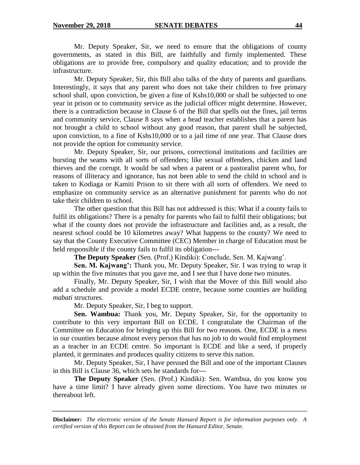Mr. Deputy Speaker, Sir, we need to ensure that the obligations of county governments, as stated in this Bill, are faithfully and firmly implemented. These obligations are to provide free, compulsory and quality education; and to provide the infrastructure.

Mr. Deputy Speaker, Sir, this Bill also talks of the duty of parents and guardians. Interestingly, it says that any parent who does not take their children to free primary school shall, upon conviction, be given a fine of Kshs10,000 or shall be subjected to one year in prison or to community service as the judicial officer might determine. However, there is a contradiction because in Clause 6 of the Bill that spells out the fines, jail terms and community service, Clause 8 says when a head teacher establishes that a parent has not brought a child to school without any good reason, that parent shall be subjected, upon conviction, to a fine of Kshs10,000 or to a jail time of one year. That Clause does not provide the option for community service.

Mr. Deputy Speaker, Sir, our prisons, correctional institutions and facilities are bursting the seams with all sorts of offenders; like sexual offenders, chicken and land thieves and the corrupt. It would be sad when a parent or a pastoralist parent who, for reasons of illiteracy and ignorance, has not been able to send the child to school and is taken to Kodiaga or Kamiti Prison to sit there with all sorts of offenders. We need to emphasize on community service as an alternative punishment for parents who do not take their children to school.

The other question that this Bill has not addressed is this: What if a county fails to fulfil its obligations? There is a penalty for parents who fail to fulfil their obligations; but what if the county does not provide the infrastructure and facilities and, as a result, the nearest school could be 10 kilometres away? What happens to the county? We need to say that the County Executive Committee (CEC) Member in charge of Education must be held responsible if the county fails to fulfil its obligation---

**The Deputy Speaker** (Sen. (Prof.) Kindiki): Conclude, Sen. M. Kajwang'.

**Sen. M. Kajwang':** Thank you, Mr. Deputy Speaker, Sir. I was trying to wrap it up within the five minutes that you gave me, and I see that I have done two minutes.

Finally, Mr. Deputy Speaker, Sir, I wish that the Mover of this Bill would also add a schedule and provide a model ECDE centre, because some counties are building *mabati* structures.

Mr. Deputy Speaker, Sir, I beg to support.

**Sen. Wambua:** Thank you, Mr. Deputy Speaker, Sir, for the opportunity to contribute to this very important Bill on ECDE. I congratulate the Chairman of the Committee on Education for bringing up this Bill for two reasons. One, ECDE is a mess in our counties because almost every person that has no job to do would find employment as a teacher in an ECDE centre. So important is ECDE and like a seed, if properly planted, it germinates and produces quality citizens to serve this nation.

Mr. Deputy Speaker, Sir, I have perused the Bill and one of the important Clauses in this Bill is Clause 36, which sets he standards for---

**The Deputy Speaker** (Sen. (Prof.) Kindiki): Sen. Wambua, do you know you have a time limit? I have already given some directions. You have two minutes or thereabout left.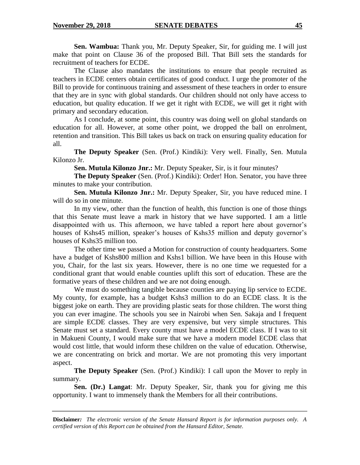**Sen. Wambua:** Thank you, Mr. Deputy Speaker, Sir, for guiding me. I will just make that point on Clause 36 of the proposed Bill. That Bill sets the standards for recruitment of teachers for ECDE.

The Clause also mandates the institutions to ensure that people recruited as teachers in ECDE centers obtain certificates of good conduct. I urge the promoter of the Bill to provide for continuous training and assessment of these teachers in order to ensure that they are in sync with global standards. Our children should not only have access to education, but quality education. If we get it right with ECDE, we will get it right with primary and secondary education.

As I conclude, at some point, this country was doing well on global standards on education for all. However, at some other point, we dropped the ball on enrolment, retention and transition. This Bill takes us back on track on ensuring quality education for all.

**The Deputy Speaker** (Sen. (Prof.) Kindiki): Very well. Finally, Sen. Mutula Kilonzo Jr.

**Sen. Mutula Kilonzo Jnr.:** Mr. Deputy Speaker, Sir, is it four minutes?

**The Deputy Speaker** (Sen. (Prof.) Kindiki): Order! Hon. Senator, you have three minutes to make your contribution.

**Sen. Mutula Kilonzo Jnr.:** Mr. Deputy Speaker, Sir, you have reduced mine. I will do so in one minute.

In my view, other than the function of health, this function is one of those things that this Senate must leave a mark in history that we have supported. I am a little disappointed with us. This afternoon, we have tabled a report here about governor's houses of Kshs45 million, speaker's houses of Kshs35 million and deputy governor's houses of Kshs35 million too.

The other time we passed a Motion for construction of county headquarters. Some have a budget of Kshs800 million and Kshs1 billion. We have been in this House with you, Chair, for the last six years. However, there is no one time we requested for a conditional grant that would enable counties uplift this sort of education. These are the formative years of these children and we are not doing enough.

We must do something tangible because counties are paying lip service to ECDE. My county, for example, has a budget Kshs3 million to do an ECDE class. It is the biggest joke on earth. They are providing plastic seats for those children. The worst thing you can ever imagine. The schools you see in Nairobi when Sen. Sakaja and I frequent are simple ECDE classes. They are very expensive, but very simple structures. This Senate must set a standard. Every county must have a model ECDE class. If I was to sit in Makueni County, I would make sure that we have a modern model ECDE class that would cost little, that would inform these children on the value of education. Otherwise, we are concentrating on brick and mortar. We are not promoting this very important aspect.

**The Deputy Speaker** (Sen. (Prof.) Kindiki): I call upon the Mover to reply in summary.

**Sen. (Dr.) Langat**: Mr. Deputy Speaker, Sir, thank you for giving me this opportunity. I want to immensely thank the Members for all their contributions.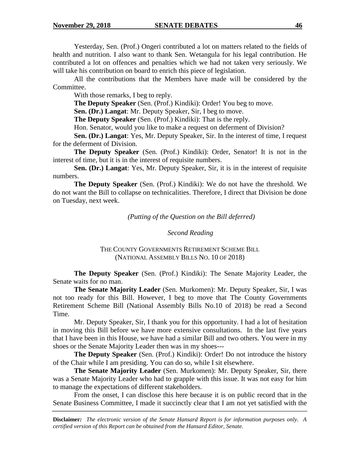Yesterday, Sen. (Prof.) Ongeri contributed a lot on matters related to the fields of health and nutrition. I also want to thank Sen. Wetangula for his legal contribution. He contributed a lot on offences and penalties which we had not taken very seriously. We will take his contribution on board to enrich this piece of legislation.

All the contributions that the Members have made will be considered by the Committee.

With those remarks, I beg to reply.

**The Deputy Speaker** (Sen. (Prof.) Kindiki): Order! You beg to move.

**Sen. (Dr.) Langat**: Mr. Deputy Speaker, Sir, I beg to move.

**The Deputy Speaker** (Sen. (Prof.) Kindiki): That is the reply.

Hon. Senator, would you like to make a request on deferment of Division?

**Sen. (Dr.) Langat**: Yes, Mr. Deputy Speaker, Sir. In the interest of time, I request for the deferment of Division.

**The Deputy Speaker** (Sen. (Prof.) Kindiki): Order, Senator! It is not in the interest of time, but it is in the interest of requisite numbers.

**Sen. (Dr.) Langat**: Yes, Mr. Deputy Speaker, Sir, it is in the interest of requisite numbers.

**The Deputy Speaker** (Sen. (Prof.) Kindiki): We do not have the threshold. We do not want the Bill to collapse on technicalities. Therefore, I direct that Division be done on Tuesday, next week.

*(Putting of the Question on the Bill deferred)*

#### *Second Reading*

#### THE COUNTY GOVERNMENTS RETIREMENT SCHEME BILL (NATIONAL ASSEMBLY BILLS NO. 10 OF 2018)

**The Deputy Speaker** (Sen. (Prof.) Kindiki): The Senate Majority Leader, the Senate waits for no man.

**The Senate Majority Leader** (Sen. Murkomen): Mr. Deputy Speaker, Sir, I was not too ready for this Bill. However, I beg to move that The County Governments Retirement Scheme Bill (National Assembly Bills No.10 of 2018) be read a Second Time.

Mr. Deputy Speaker, Sir, I thank you for this opportunity. I had a lot of hesitation in moving this Bill before we have more extensive consultations. In the last five years that I have been in this House, we have had a similar Bill and two others. You were in my shoes or the Senate Majority Leader then was in my shoes---

**The Deputy Speaker** (Sen. (Prof.) Kindiki): Order! Do not introduce the history of the Chair while I am presiding. You can do so, while I sit elsewhere.

**The Senate Majority Leader** (Sen. Murkomen): Mr. Deputy Speaker, Sir, there was a Senate Majority Leader who had to grapple with this issue. It was not easy for him to manage the expectations of different stakeholders.

From the onset, I can disclose this here because it is on public record that in the Senate Business Committee, I made it succinctly clear that I am not yet satisfied with the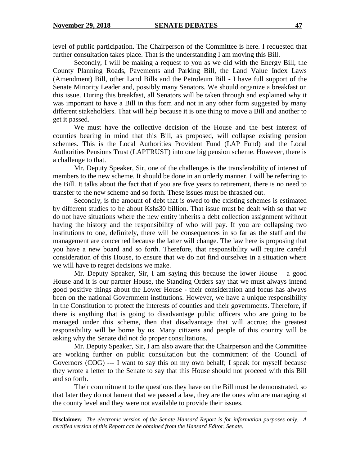level of public participation. The Chairperson of the Committee is here. I requested that further consultation takes place. That is the understanding I am moving this Bill.

Secondly, I will be making a request to you as we did with the Energy Bill, the County Planning Roads, Pavements and Parking Bill, the Land Value Index Laws (Amendment) Bill, other Land Bills and the Petroleum Bill - I have full support of the Senate Minority Leader and, possibly many Senators. We should organize a breakfast on this issue. During this breakfast, all Senators will be taken through and explained why it was important to have a Bill in this form and not in any other form suggested by many different stakeholders. That will help because it is one thing to move a Bill and another to get it passed.

We must have the collective decision of the House and the best interest of counties bearing in mind that this Bill, as proposed, will collapse existing pension schemes. This is the Local Authorities Provident Fund (LAP Fund) and the Local Authorities Pensions Trust (LAPTRUST) into one big pension scheme. However, there is a challenge to that.

Mr. Deputy Speaker, Sir, one of the challenges is the transferability of interest of members to the new scheme. It should be done in an orderly manner. I will be referring to the Bill. It talks about the fact that if you are five years to retirement, there is no need to transfer to the new scheme and so forth. These issues must be thrashed out.

Secondly, is the amount of debt that is owed to the existing schemes is estimated by different studies to be about Kshs30 billion. That issue must be dealt with so that we do not have situations where the new entity inherits a debt collection assignment without having the history and the responsibility of who will pay. If you are collapsing two institutions to one, definitely, there will be consequences in so far as the staff and the management are concerned because the latter will change. The law here is proposing that you have a new board and so forth. Therefore, that responsibility will require careful consideration of this House, to ensure that we do not find ourselves in a situation where we will have to regret decisions we make.

Mr. Deputy Speaker, Sir, I am saying this because the lower House – a good House and it is our partner House, the Standing Orders say that we must always intend good positive things about the Lower House - their consideration and focus has always been on the national Government institutions. However, we have a unique responsibility in the Constitution to protect the interests of counties and their governments. Therefore, if there is anything that is going to disadvantage public officers who are going to be managed under this scheme, then that disadvantage that will accrue; the greatest responsibility will be borne by us. Many citizens and people of this country will be asking why the Senate did not do proper consultations.

Mr. Deputy Speaker, Sir, I am also aware that the Chairperson and the Committee are working further on public consultation but the commitment of the Council of Governors (COG) --- I want to say this on my own behalf; I speak for myself because they wrote a letter to the Senate to say that this House should not proceed with this Bill and so forth.

Their commitment to the questions they have on the Bill must be demonstrated, so that later they do not lament that we passed a law, they are the ones who are managing at the county level and they were not available to provide their issues.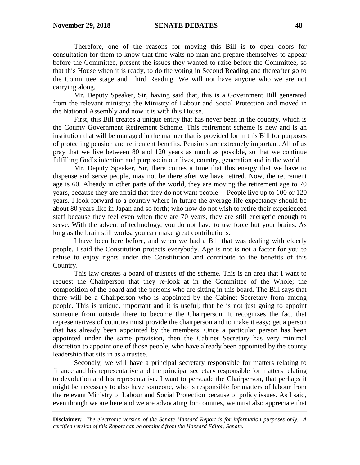Therefore, one of the reasons for moving this Bill is to open doors for consultation for them to know that time waits no man and prepare themselves to appear before the Committee, present the issues they wanted to raise before the Committee, so that this House when it is ready, to do the voting in Second Reading and thereafter go to the Committee stage and Third Reading. We will not have anyone who we are not carrying along.

Mr. Deputy Speaker, Sir, having said that, this is a Government Bill generated from the relevant ministry; the Ministry of Labour and Social Protection and moved in the National Assembly and now it is with this House.

First, this Bill creates a unique entity that has never been in the country, which is the County Government Retirement Scheme. This retirement scheme is new and is an institution that will be managed in the manner that is provided for in this Bill for purposes of protecting pension and retirement benefits. Pensions are extremely important. All of us pray that we live between 80 and 120 years as much as possible, so that we continue fulfilling God's intention and purpose in our lives, country, generation and in the world.

Mr. Deputy Speaker, Sir, there comes a time that this energy that we have to dispense and serve people, may not be there after we have retired. Now, the retirement age is 60. Already in other parts of the world, they are moving the retirement age to 70 years, because they are afraid that they do not want people--- People live up to 100 or 120 years. I look forward to a country where in future the average life expectancy should be about 80 years like in Japan and so forth; who now do not wish to retire their experienced staff because they feel even when they are 70 years, they are still energetic enough to serve. With the advent of technology, you do not have to use force but your brains. As long as the brain still works, you can make great contributions.

I have been here before, and when we had a Bill that was dealing with elderly people, I said the Constitution protects everybody. Age is not is not a factor for you to refuse to enjoy rights under the Constitution and contribute to the benefits of this Country.

This law creates a board of trustees of the scheme. This is an area that I want to request the Chairperson that they re-look at in the Committee of the Whole; the composition of the board and the persons who are sitting in this board. The Bill says that there will be a Chairperson who is appointed by the Cabinet Secretary from among people. This is unique, important and it is useful; that he is not just going to appoint someone from outside there to become the Chairperson. It recognizes the fact that representatives of counties must provide the chairperson and to make it easy; get a person that has already been appointed by the members. Once a particular person has been appointed under the same provision, then the Cabinet Secretary has very minimal discretion to appoint one of those people, who have already been appointed by the county leadership that sits in as a trustee.

Secondly, we will have a principal secretary responsible for matters relating to finance and his representative and the principal secretary responsible for matters relating to devolution and his representative. I want to persuade the Chairperson, that perhaps it might be necessary to also have someone, who is responsible for matters of labour from the relevant Ministry of Labour and Social Protection because of policy issues. As I said, even though we are here and we are advocating for counties, we must also appreciate that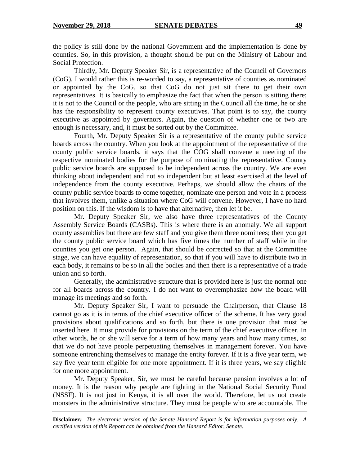the policy is still done by the national Government and the implementation is done by counties. So, in this provision, a thought should be put on the Ministry of Labour and Social Protection.

Thirdly, Mr. Deputy Speaker Sir, is a representative of the Council of Governors (CoG). I would rather this is re-worded to say, a representative of counties as nominated or appointed by the CoG, so that CoG do not just sit there to get their own representatives. It is basically to emphasize the fact that when the person is sitting there; it is not to the Council or the people, who are sitting in the Council all the time, he or she has the responsibility to represent county executives. That point is to say, the county executive as appointed by governors. Again, the question of whether one or two are enough is necessary, and, it must be sorted out by the Committee.

Fourth, Mr. Deputy Speaker Sir is a representative of the county public service boards across the country. When you look at the appointment of the representative of the county public service boards, it says that the COG shall convene a meeting of the respective nominated bodies for the purpose of nominating the representative. County public service boards are supposed to be independent across the country. We are even thinking about independent and not so independent but at least exercised at the level of independence from the county executive. Perhaps, we should allow the chairs of the county public service boards to come together, nominate one person and vote in a process that involves them, unlike a situation where CoG will convene. However, I have no hard position on this. If the wisdom is to have that alternative, then let it be.

Mr. Deputy Speaker Sir, we also have three representatives of the County Assembly Service Boards (CASBs). This is where there is an anomaly. We all support county assemblies but there are few staff and you give them three nominees; then you get the county public service board which has five times the number of staff while in the counties you get one person. Again, that should be corrected so that at the Committee stage, we can have equality of representation, so that if you will have to distribute two in each body, it remains to be so in all the bodies and then there is a representative of a trade union and so forth.

Generally, the administrative structure that is provided here is just the normal one for all boards across the country. I do not want to overemphasize how the board will manage its meetings and so forth.

Mr. Deputy Speaker Sir, I want to persuade the Chairperson, that Clause 18 cannot go as it is in terms of the chief executive officer of the scheme. It has very good provisions about qualifications and so forth, but there is one provision that must be inserted here. It must provide for provisions on the term of the chief executive officer. In other words, he or she will serve for a term of how many years and how many times, so that we do not have people perpetuating themselves in management forever. You have someone entrenching themselves to manage the entity forever. If it is a five year term, we say five year term eligible for one more appointment. If it is three years, we say eligible for one more appointment.

Mr. Deputy Speaker, Sir, we must be careful because pension involves a lot of money. It is the reason why people are fighting in the National Social Security Fund (NSSF). It is not just in Kenya, it is all over the world. Therefore, let us not create monsters in the administrative structure. They must be people who are accountable. The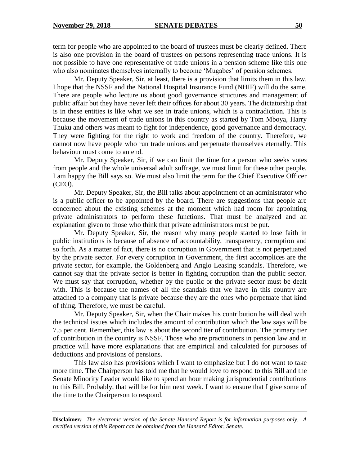term for people who are appointed to the board of trustees must be clearly defined. There is also one provision in the board of trustees on persons representing trade unions. It is not possible to have one representative of trade unions in a pension scheme like this one who also nominates themselves internally to become 'Mugabes' of pension schemes.

Mr. Deputy Speaker, Sir, at least, there is a provision that limits them in this law. I hope that the NSSF and the National Hospital Insurance Fund (NHIF) will do the same. There are people who lecture us about good governance structures and management of public affair but they have never left their offices for about 30 years. The dictatorship that is in these entities is like what we see in trade unions, which is a contradiction. This is because the movement of trade unions in this country as started by Tom Mboya, Harry Thuku and others was meant to fight for independence, good governance and democracy. They were fighting for the right to work and freedom of the country. Therefore, we cannot now have people who run trade unions and perpetuate themselves eternally. This behaviour must come to an end.

Mr. Deputy Speaker, Sir, if we can limit the time for a person who seeks votes from people and the whole universal adult suffrage, we must limit for these other people. I am happy the Bill says so. We must also limit the term for the Chief Executive Officer (CEO).

Mr. Deputy Speaker, Sir, the Bill talks about appointment of an administrator who is a public officer to be appointed by the board. There are suggestions that people are concerned about the existing schemes at the moment which had room for appointing private administrators to perform these functions. That must be analyzed and an explanation given to those who think that private administrators must be put.

Mr. Deputy Speaker, Sir, the reason why many people started to lose faith in public institutions is because of absence of accountability, transparency, corruption and so forth. As a matter of fact, there is no corruption in Government that is not perpetuated by the private sector. For every corruption in Government, the first accomplices are the private sector, for example, the Goldenberg and Anglo Leasing scandals. Therefore, we cannot say that the private sector is better in fighting corruption than the public sector. We must say that corruption, whether by the public or the private sector must be dealt with. This is because the names of all the scandals that we have in this country are attached to a company that is private because they are the ones who perpetuate that kind of thing. Therefore, we must be careful.

Mr. Deputy Speaker, Sir, when the Chair makes his contribution he will deal with the technical issues which includes the amount of contribution which the law says will be 7.5 per cent. Remember, this law is about the second tier of contribution. The primary tier of contribution in the country is NSSF. Those who are practitioners in pension law and in practice will have more explanations that are empirical and calculated for purposes of deductions and provisions of pensions.

This law also has provisions which I want to emphasize but I do not want to take more time. The Chairperson has told me that he would love to respond to this Bill and the Senate Minority Leader would like to spend an hour making jurisprudential contributions to this Bill. Probably, that will be for him next week. I want to ensure that I give some of the time to the Chairperson to respond.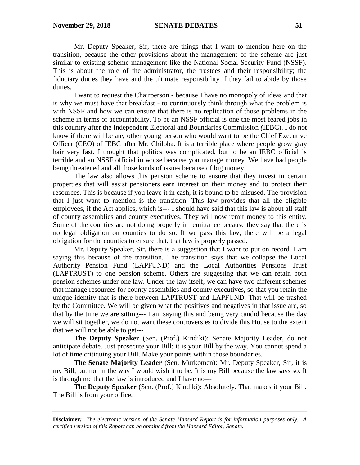Mr. Deputy Speaker, Sir, there are things that I want to mention here on the transition, because the other provisions about the management of the scheme are just similar to existing scheme management like the National Social Security Fund (NSSF). This is about the role of the administrator, the trustees and their responsibility; the fiduciary duties they have and the ultimate responsibility if they fail to abide by those duties.

I want to request the Chairperson - because I have no monopoly of ideas and that is why we must have that breakfast - to continuously think through what the problem is with NSSF and how we can ensure that there is no replication of those problems in the scheme in terms of accountability. To be an NSSF official is one the most feared jobs in this country after the Independent Electoral and Boundaries Commission *(*IEBC). I do not know if there will be any other young person who would want to be the Chief Executive Officer (CEO) of IEBC after Mr. Chiloba. It is a terrible place where people grow gray hair very fast. I thought that politics was complicated, but to be an IEBC official is terrible and an NSSF official in worse because you manage money. We have had people being threatened and all those kinds of issues because of big money.

The law also allows this pension scheme to ensure that they invest in certain properties that will assist pensioners earn interest on their money and to protect their resources. This is because if you leave it in cash, it is bound to be misused. The provision that I just want to mention is the transition. This law provides that all the eligible employees, if the Act applies, which is--- I should have said that this law is about all staff of county assemblies and county executives. They will now remit money to this entity. Some of the counties are not doing properly in remittance because they say that there is no legal obligation on counties to do so. If we pass this law, there will be a legal obligation for the counties to ensure that, that law is properly passed.

Mr. Deputy Speaker, Sir, there is a suggestion that I want to put on record. I am saying this because of the transition. The transition says that we collapse the Local Authority Pension Fund (LAPFUND) and the Local Authorities Pensions Trust (LAPTRUST) to one pension scheme. Others are suggesting that we can retain both pension schemes under one law. Under the law itself, we can have two different schemes that manage resources for county assemblies and county executives, so that you retain the unique identity that is there between LAPTRUST and LAPFUND. That will be trashed by the Committee. We will be given what the positives and negatives in that issue are, so that by the time we are sitting--- I am saying this and being very candid because the day we will sit together, we do not want these controversies to divide this House to the extent that we will not be able to get---

**The Deputy Speaker** (Sen. (Prof.) Kindiki): Senate Majority Leader, do not anticipate debate. Just prosecute your Bill; it is your Bill by the way. You cannot spend a lot of time critiquing your Bill. Make your points within those boundaries.

**The Senate Majority Leader** (Sen. Murkomen): Mr. Deputy Speaker, Sir, it is my Bill, but not in the way I would wish it to be. It is my Bill because the law says so. It is through me that the law is introduced and I have no---

**The Deputy Speaker** (Sen. (Prof.) Kindiki): Absolutely. That makes it your Bill. The Bill is from your office.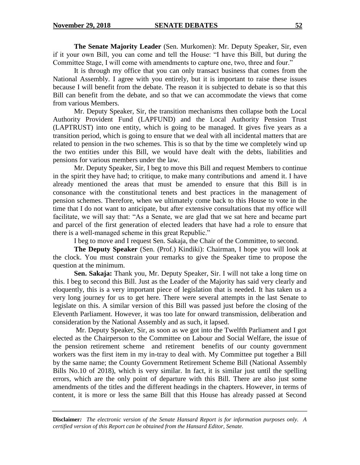**The Senate Majority Leader** (Sen. Murkomen): Mr. Deputy Speaker, Sir, even if it your own Bill, you can come and tell the House: "I have this Bill, but during the Committee Stage, I will come with amendments to capture one, two, three and four."

It is through my office that you can only transact business that comes from the National Assembly. I agree with you entirely, but it is important to raise these issues because I will benefit from the debate. The reason it is subjected to debate is so that this Bill can benefit from the debate, and so that we can accommodate the views that come from various Members.

Mr. Deputy Speaker, Sir, the transition mechanisms then collapse both the Local Authority Provident Fund (LAPFUND) and the Local Authority Pension Trust (LAPTRUST) into one entity, which is going to be managed. It gives five years as a transition period, which is going to ensure that we deal with all incidental matters that are related to pension in the two schemes. This is so that by the time we completely wind up the two entities under this Bill, we would have dealt with the debts, liabilities and pensions for various members under the law.

Mr. Deputy Speaker, Sir, I beg to move this Bill and request Members to continue in the spirit they have had; to critique, to make many contributions and amend it. I have already mentioned the areas that must be amended to ensure that this Bill is in consonance with the constitutional tenets and best practices in the management of pension schemes. Therefore, when we ultimately come back to this House to vote in the time that I do not want to anticipate, but after extensive consultations that my office will facilitate, we will say that: "As a Senate, we are glad that we sat here and became part and parcel of the first generation of elected leaders that have had a role to ensure that there is a well-managed scheme in this great Republic."

I beg to move and I request Sen. Sakaja, the Chair of the Committee, to second.

**The Deputy Speaker** (Sen. (Prof.) Kindiki): Chairman, I hope you will look at the clock. You must constrain your remarks to give the Speaker time to propose the question at the minimum.

**Sen. Sakaja:** Thank you, Mr. Deputy Speaker, Sir. I will not take a long time on this. I beg to second this Bill. Just as the Leader of the Majority has said very clearly and eloquently, this is a very important piece of legislation that is needed. It has taken us a very long journey for us to get here. There were several attempts in the last Senate to legislate on this. A similar version of this Bill was passed just before the closing of the Eleventh Parliament. However, it was too late for onward transmission, deliberation and consideration by the National Assembly and as such, it lapsed.

Mr. Deputy Speaker, Sir, as soon as we got into the Twelfth Parliament and I got elected as the Chairperson to the Committee on Labour and Social Welfare, the issue of the pension retirement scheme and retirement benefits of our county government workers was the first item in my in-tray to deal with. My Committee put together a Bill by the same name; the County Government Retirement Scheme Bill (National Assembly Bills No.10 of 2018), which is very similar. In fact, it is similar just until the spelling errors, which are the only point of departure with this Bill. There are also just some amendments of the titles and the different headings in the chapters. However, in terms of content, it is more or less the same Bill that this House has already passed at Second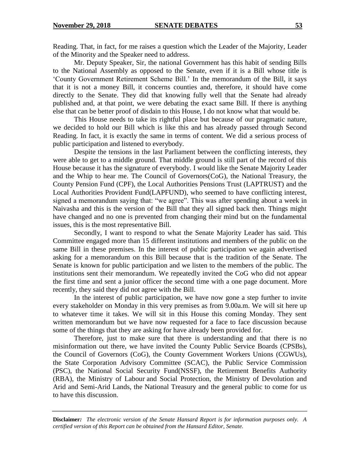Reading. That, in fact, for me raises a question which the Leader of the Majority, Leader of the Minority and the Speaker need to address.

Mr. Deputy Speaker, Sir, the national Government has this habit of sending Bills to the National Assembly as opposed to the Senate, even if it is a Bill whose title is 'County Government Retirement Scheme Bill.' In the memorandum of the Bill, it says that it is not a money Bill, it concerns counties and, therefore, it should have come directly to the Senate. They did that knowing fully well that the Senate had already published and, at that point, we were debating the exact same Bill. If there is anything else that can be better proof of disdain to this House, I do not know what that would be.

This House needs to take its rightful place but because of our pragmatic nature, we decided to hold our Bill which is like this and has already passed through Second Reading. In fact, it is exactly the same in terms of content. We did a serious process of public participation and listened to everybody.

Despite the tensions in the last Parliament between the conflicting interests, they were able to get to a middle ground. That middle ground is still part of the record of this House because it has the signature of everybody. I would like the Senate Majority Leader and the Whip to hear me. The Council of Governors(CoG), the National Treasury, the County Pension Fund (CPF), the Local Authorities Pensions Trust (LAPTRUST) and the Local Authorities Provident Fund(LAPFUND), who seemed to have conflicting interest, signed a memorandum saying that: "we agree". This was after spending about a week in Naivasha and this is the version of the Bill that they all signed back then. Things might have changed and no one is prevented from changing their mind but on the fundamental issues, this is the most representative Bill.

Secondly, I want to respond to what the Senate Majority Leader has said. This Committee engaged more than 15 different institutions and members of the public on the same Bill in these premises. In the interest of public participation we again advertised asking for a memorandum on this Bill because that is the tradition of the Senate. The Senate is known for public participation and we listen to the members of the public. The institutions sent their memorandum. We repeatedly invited the CoG who did not appear the first time and sent a junior officer the second time with a one page document. More recently, they said they did not agree with the Bill.

In the interest of public participation, we have now gone a step further to invite every stakeholder on Monday in this very premises as from 9.00a.m. We will sit here up to whatever time it takes. We will sit in this House this coming Monday. They sent written memorandum but we have now requested for a face to face discussion because some of the things that they are asking for have already been provided for.

Therefore, just to make sure that there is understanding and that there is no misinformation out there, we have invited the County Public Service Boards (CPSBs), the Council of Governors (CoG), the County Government Workers Unions (CGWUs), the State Corporation Advisory Committee (SCAC), the Public Service Commission (PSC), the National Social Security Fund(NSSF), the Retirement Benefits Authority (RBA), the Ministry of Labour and Social Protection, the Ministry of Devolution and Arid and Semi-Arid Lands, the National Treasury and the general public to come for us to have this discussion.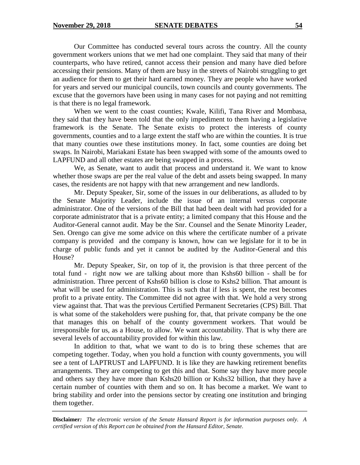Our Committee has conducted several tours across the country. All the county government workers unions that we met had one complaint. They said that many of their counterparts, who have retired, cannot access their pension and many have died before accessing their pensions. Many of them are busy in the streets of Nairobi struggling to get an audience for them to get their hard earned money. They are people who have worked for years and served our municipal councils, town councils and county governments. The excuse that the governors have been using in many cases for not paying and not remitting is that there is no legal framework.

When we went to the coast counties; Kwale, Kilifi, Tana River and Mombasa, they said that they have been told that the only impediment to them having a legislative framework is the Senate. The Senate exists to protect the interests of county governments, counties and to a large extent the staff who are within the counties. It is true that many counties owe these institutions money. In fact, some counties are doing bet swaps. In Nairobi, Mariakani Estate has been swapped with some of the amounts owed to LAPFUND and all other estates are being swapped in a process.

We, as Senate, want to audit that process and understand it. We want to know whether those swaps are per the real value of the debt and assets being swapped. In many cases, the residents are not happy with that new arrangement and new landlords.

Mr. Deputy Speaker, Sir, some of the issues in our deliberations, as alluded to by the Senate Majority Leader, include the issue of an internal versus corporate administrator. One of the versions of the Bill that had been dealt with had provided for a corporate administrator that is a private entity; a limited company that this House and the Auditor-General cannot audit. May be the Snr. Counsel and the Senate Minority Leader, Sen. Orengo can give me some advice on this where the certificate number of a private company is provided and the company is known, how can we legislate for it to be in charge of public funds and yet it cannot be audited by the Auditor-General and this House?

Mr. Deputy Speaker, Sir, on top of it, the provision is that three percent of the total fund - right now we are talking about more than Kshs60 billion - shall be for administration. Three percent of Kshs60 billion is close to Kshs2 billion. That amount is what will be used for administration. This is such that if less is spent, the rest becomes profit to a private entity. The Committee did not agree with that. We hold a very strong view against that. That was the previous Certified Permanent Secretaries (CPS) Bill. That is what some of the stakeholders were pushing for, that, that private company be the one that manages this on behalf of the county government workers. That would be irresponsible for us, as a House, to allow. We want accountability. That is why there are several levels of accountability provided for within this law.

In addition to that, what we want to do is to bring these schemes that are competing together. Today, when you hold a function with county governments, you will see a tent of LAPTRUST and LAPFUND. It is like they are hawking retirement benefits arrangements. They are competing to get this and that. Some say they have more people and others say they have more than Kshs20 billion or Kshs32 billion, that they have a certain number of counties with them and so on. It has become a market. We want to bring stability and order into the pensions sector by creating one institution and bringing them together.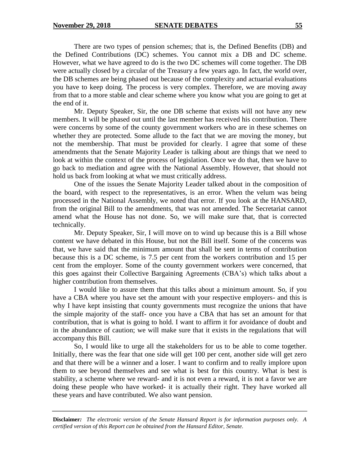There are two types of pension schemes; that is, the Defined Benefits (DB) and the Defined Contributions (DC) schemes. You cannot mix a DB and DC scheme. However, what we have agreed to do is the two DC schemes will come together. The DB were actually closed by a circular of the Treasury a few years ago. In fact, the world over, the DB schemes are being phased out because of the complexity and actuarial evaluations you have to keep doing. The process is very complex. Therefore, we are moving away from that to a more stable and clear scheme where you know what you are going to get at the end of it.

Mr. Deputy Speaker, Sir, the one DB scheme that exists will not have any new members. It will be phased out until the last member has received his contribution. There were concerns by some of the county government workers who are in these schemes on whether they are protected. Some allude to the fact that we are moving the money, but not the membership. That must be provided for clearly. I agree that some of these amendments that the Senate Majority Leader is talking about are things that we need to look at within the context of the process of legislation. Once we do that, then we have to go back to mediation and agree with the National Assembly. However, that should not hold us back from looking at what we must critically address.

One of the issues the Senate Majority Leader talked about in the composition of the board, with respect to the representatives, is an error. When the velum was being processed in the National Assembly, we noted that error. If you look at the HANSARD, from the original Bill to the amendments, that was not amended. The Secretariat cannot amend what the House has not done. So, we will make sure that, that is corrected technically.

Mr. Deputy Speaker, Sir, I will move on to wind up because this is a Bill whose content we have debated in this House, but not the Bill itself. Some of the concerns was that, we have said that the minimum amount that shall be sent in terms of contribution because this is a DC scheme, is 7.5 per cent from the workers contribution and 15 per cent from the employer. Some of the county government workers were concerned, that this goes against their Collective Bargaining Agreements (CBA's) which talks about a higher contribution from themselves.

I would like to assure them that this talks about a minimum amount. So, if you have a CBA where you have set the amount with your respective employers- and this is why I have kept insisting that county governments must recognize the unions that have the simple majority of the staff- once you have a CBA that has set an amount for that contribution, that is what is going to hold. I want to affirm it for avoidance of doubt and in the abundance of caution; we will make sure that it exists in the regulations that will accompany this Bill.

So, I would like to urge all the stakeholders for us to be able to come together. Initially, there was the fear that one side will get 100 per cent, another side will get zero and that there will be a winner and a loser. I want to confirm and to really implore upon them to see beyond themselves and see what is best for this country. What is best is stability, a scheme where we reward- and it is not even a reward, it is not a favor we are doing these people who have worked- it is actually their right. They have worked all these years and have contributed. We also want pension.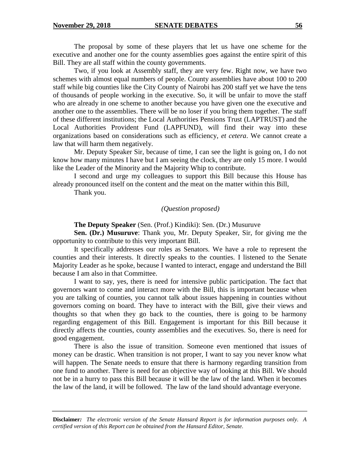The proposal by some of these players that let us have one scheme for the executive and another one for the county assemblies goes against the entire spirit of this Bill. They are all staff within the county governments.

Two, if you look at Assembly staff, they are very few. Right now, we have two schemes with almost equal numbers of people. County assemblies have about 100 to 200 staff while big counties like the City County of Nairobi has 200 staff yet we have the tens of thousands of people working in the executive. So, it will be unfair to move the staff who are already in one scheme to another because you have given one the executive and another one to the assemblies. There will be no loser if you bring them together. The staff of these different institutions; the Local Authorities Pensions Trust (LAPTRUST) and the Local Authorities Provident Fund (LAPFUND), will find their way into these organizations based on considerations such as efficiency, *et cetera*. We cannot create a law that will harm them negatively.

Mr. Deputy Speaker Sir, because of time, I can see the light is going on, I do not know how many minutes I have but I am seeing the clock, they are only 15 more. I would like the Leader of the Minority and the Majority Whip to contribute.

I second and urge my colleagues to support this Bill because this House has already pronounced itself on the content and the meat on the matter within this Bill,

Thank you.

*(Question proposed)*

**The Deputy Speaker** (Sen. (Prof.) Kindiki): Sen. (Dr.) Musuruve

**Sen. (Dr.) Musuruve**: Thank you, Mr. Deputy Speaker, Sir, for giving me the opportunity to contribute to this very important Bill.

It specifically addresses our roles as Senators. We have a role to represent the counties and their interests. It directly speaks to the counties. I listened to the Senate Majority Leader as he spoke, because I wanted to interact, engage and understand the Bill because I am also in that Committee.

I want to say, yes, there is need for intensive public participation. The fact that governors want to come and interact more with the Bill, this is important because when you are talking of counties, you cannot talk about issues happening in counties without governors coming on board. They have to interact with the Bill, give their views and thoughts so that when they go back to the counties, there is going to be harmony regarding engagement of this Bill. Engagement is important for this Bill because it directly affects the counties, county assemblies and the executives. So, there is need for good engagement.

There is also the issue of transition. Someone even mentioned that issues of money can be drastic. When transition is not proper, I want to say you never know what will happen. The Senate needs to ensure that there is harmony regarding transition from one fund to another. There is need for an objective way of looking at this Bill. We should not be in a hurry to pass this Bill because it will be the law of the land. When it becomes the law of the land, it will be followed. The law of the land should advantage everyone.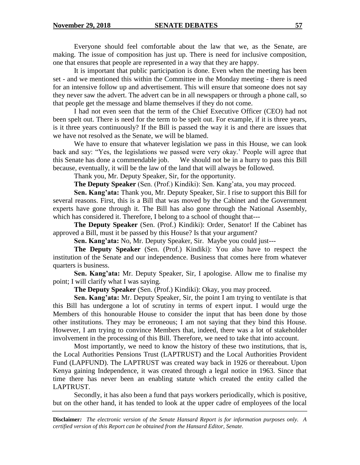Everyone should feel comfortable about the law that we, as the Senate, are making. The issue of composition has just up. There is need for inclusive composition, one that ensures that people are represented in a way that they are happy.

It is important that public participation is done. Even when the meeting has been set - and we mentioned this within the Committee in the Monday meeting - there is need for an intensive follow up and advertisement. This will ensure that someone does not say they never saw the advert. The advert can be in all newspapers or through a phone call, so that people get the message and blame themselves if they do not come.

I had not even seen that the term of the Chief Executive Officer (CEO) had not been spelt out. There is need for the term to be spelt out. For example, if it is three years, is it three years continuously? If the Bill is passed the way it is and there are issues that we have not resolved as the Senate, we will be blamed.

We have to ensure that whatever legislation we pass in this House, we can look back and say: "Yes, the legislations we passed were very okay.' People will agree that this Senate has done a commendable job. We should not be in a hurry to pass this Bill because, eventually, it will be the law of the land that will always be followed.

Thank you, Mr. Deputy Speaker, Sir, for the opportunity.

**The Deputy Speaker** (Sen. (Prof.) Kindiki): Sen. Kang'ata, you may proceed.

**Sen. Kang'ata:** Thank you, Mr. Deputy Speaker, Sir. I rise to support this Bill for several reasons. First, this is a Bill that was moved by the Cabinet and the Government experts have gone through it. The Bill has also gone through the National Assembly, which has considered it. Therefore, I belong to a school of thought that---

**The Deputy Speaker** (Sen. (Prof.) Kindiki): Order, Senator! If the Cabinet has approved a Bill, must it be passed by this House? Is that your argument?

**Sen. Kang'ata:** No, Mr. Deputy Speaker, Sir. Maybe you could just---

**The Deputy Speaker** (Sen. (Prof.) Kindiki): You also have to respect the institution of the Senate and our independence. Business that comes here from whatever quarters is business.

**Sen. Kang'ata:** Mr. Deputy Speaker, Sir, I apologise. Allow me to finalise my point; I will clarify what I was saying.

**The Deputy Speaker** (Sen. (Prof.) Kindiki): Okay, you may proceed.

**Sen. Kang'ata:** Mr. Deputy Speaker, Sir, the point I am trying to ventilate is that this Bill has undergone a lot of scrutiny in terms of expert input. I would urge the Members of this honourable House to consider the input that has been done by those other institutions. They may be erroneous; I am not saying that they bind this House. However, I am trying to convince Members that, indeed, there was a lot of stakeholder involvement in the processing of this Bill. Therefore, we need to take that into account.

Most importantly, we need to know the history of these two institutions, that is, the Local Authorities Pensions Trust (LAPTRUST) and the Local Authorities Provident Fund (LAPFUND). The LAPTRUST was created way back in 1926 or thereabout. Upon Kenya gaining Independence, it was created through a legal notice in 1963. Since that time there has never been an enabling statute which created the entity called the LAPTRUST.

Secondly, it has also been a fund that pays workers periodically, which is positive, but on the other hand, it has tended to look at the upper cadre of employees of the local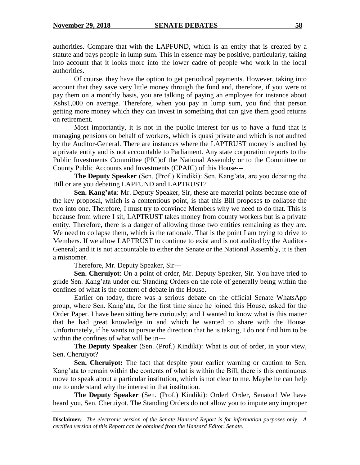authorities. Compare that with the LAPFUND, which is an entity that is created by a statute and pays people in lump sum. This in essence may be positive, particularly, taking into account that it looks more into the lower cadre of people who work in the local authorities.

Of course, they have the option to get periodical payments. However, taking into account that they save very little money through the fund and, therefore, if you were to pay them on a monthly basis, you are talking of paying an employee for instance about Kshs1,000 on average. Therefore, when you pay in lump sum, you find that person getting more money which they can invest in something that can give them good returns on retirement.

Most importantly, it is not in the public interest for us to have a fund that is managing pensions on behalf of workers, which is quasi private and which is not audited by the Auditor-General. There are instances where the LAPTRUST money is audited by a private entity and is not accountable to Parliament. Any state corporation reports to the Public Investments Committee (PIC)of the National Assembly or to the Committee on County Public Accounts and Investments (CPAIC) of this House---

**The Deputy Speaker** (Sen. (Prof.) Kindiki): Sen. Kang'ata, are you debating the Bill or are you debating LAPFUND and LAPTRUST?

**Sen. Kang'ata**: Mr. Deputy Speaker, Sir, these are material points because one of the key proposal, which is a contentious point, is that this Bill proposes to collapse the two into one. Therefore, I must try to convince Members why we need to do that. This is because from where I sit, LAPTRUST takes money from county workers but is a private entity. Therefore, there is a danger of allowing those two entities remaining as they are. We need to collapse them, which is the rationale. That is the point I am trying to drive to Members. If we allow LAPTRUST to continue to exist and is not audited by the Auditor-General; and it is not accountable to either the Senate or the National Assembly, it is then a misnomer.

Therefore, Mr. Deputy Speaker, Sir---

**Sen. Cheruiyot**: On a point of order, Mr. Deputy Speaker, Sir. You have tried to guide Sen. Kang'ata under our Standing Orders on the role of generally being within the confines of what is the content of debate in the House.

Earlier on today, there was a serious debate on the official Senate WhatsApp group, where Sen. Kang'ata, for the first time since he joined this House, asked for the Order Paper. I have been sitting here curiously; and I wanted to know what is this matter that he had great knowledge in and which he wanted to share with the House. Unfortunately, if he wants to pursue the direction that he is taking, I do not find him to be within the confines of what will be in---

**The Deputy Speaker** (Sen. (Prof.) Kindiki): What is out of order, in your view, Sen. Cheruiyot?

**Sen. Cheruiyot:** The fact that despite your earlier warning or caution to Sen. Kang'ata to remain within the contents of what is within the Bill, there is this continuous move to speak about a particular institution, which is not clear to me. Maybe he can help me to understand why the interest in that institution.

**The Deputy Speaker** (Sen. (Prof.) Kindiki): Order! Order, Senator! We have heard you, Sen. Cheruiyot. The Standing Orders do not allow you to impute any improper